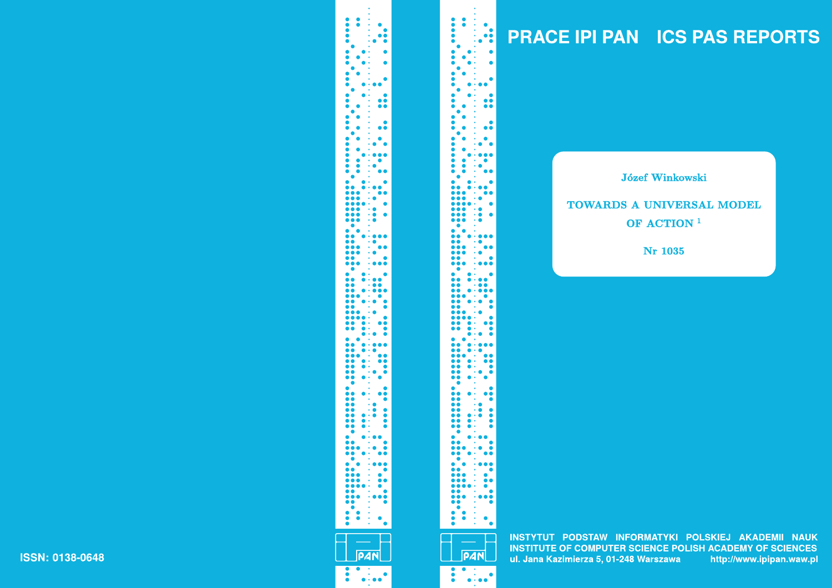# **PRACE IPI PAN ICS PAS REPORTS**

**Józef Winkowski** 

# TOWARDS A UNIVERSAL MODEL OF ACTION<sup>1</sup>

**Nr 1035** 

INSTYTUT PODSTAW INFORMATYKI POLSKIEJ AKADEMII NAUK **INSTITUTE OF COMPUTER SCIENCE POLISH ACADEMY OF SCIENCES** ul. Jana Kazimierza 5, 01-248 Warszawa http://www.ipipan.waw.pl

**PAN**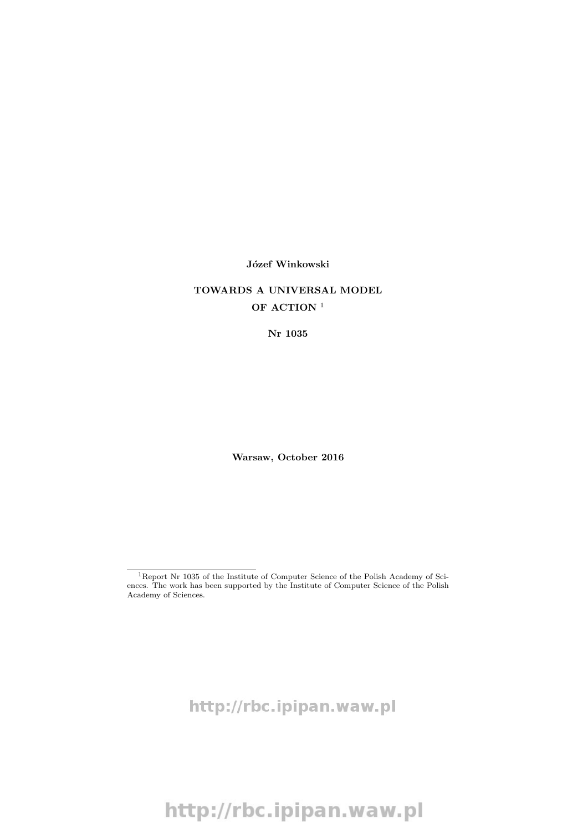#### Józef Winkowski

## TOWARDS A UNIVERSAL MODEL OF ACTION<sup>1</sup>

Nr 1035

Warsaw, October 2016

http://rbc.ipipan.waw.pl

<sup>1</sup>Report Nr 1035 of the Institute of Computer Science of the Polish Academy of Sciences. The work has been supported by the Institute of Computer Science of the Polish Academy of Sciences.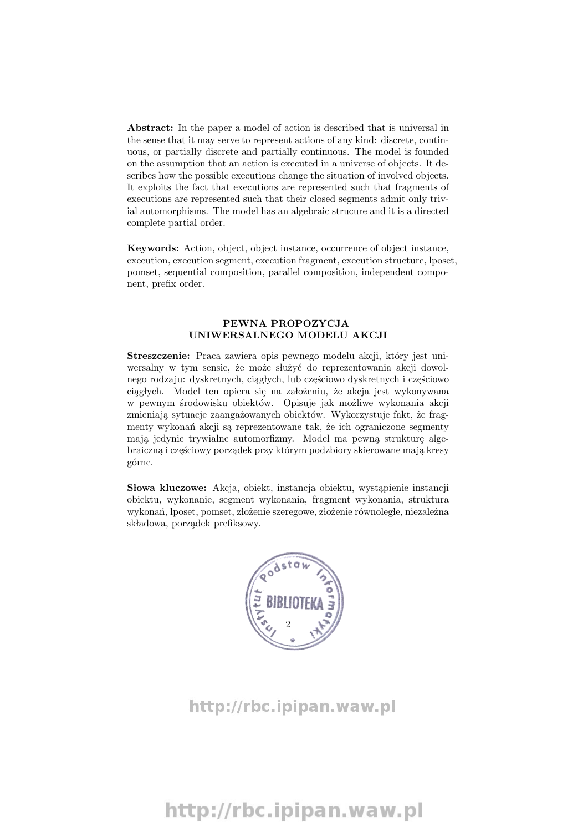Abstract: In the paper a model of action is described that is universal in the sense that it may serve to represent actions of any kind: discrete, continuous, or partially discrete and partially continuous. The model is founded on the assumption that an action is executed in a universe of objects. It describes how the possible executions change the situation of involved objects. It exploits the fact that executions are represented such that fragments of executions are represented such that their closed segments admit only trivial automorphisms. The model has an algebraic strucure and it is a directed complete partial order.

Keywords: Action, object, object instance, occurrence of object instance, execution, execution segment, execution fragment, execution structure, lposet, pomset, sequential composition, parallel composition, independent component, prefix order.

#### PEWNA PROPOZYCJA UNIWERSALNEGO MODELU AKCJI

Streszczenie: Praca zawiera opis pewnego modelu akcji, który jest uniwersalny w tym sensie, że może służyć do reprezentowania akcji dowolnego rodzaju: dyskretnych, ciągłych, lub częściowo dyskretnych i częściowo ciągłych. Model ten opiera się na założeniu, że akcja jest wykonywana w pewnym środowisku obiektów. Opisuje jak możliwe wykonania akcji zmieniają sytuacje zaangażowanych obiektów. Wykorzystuje fakt, że fragmenty wykonań akcji są reprezentowane tak, że ich ograniczone segmenty mają jedynie trywialne automorfizmy. Model ma pewną strukturę algebraiczną i częściowy porządek przy którym podzbiory skierowane mają kresy górne.

Słowa kluczowe: Akcja, obiekt, instancja obiektu, wystąpienie instancji obiektu, wykonanie, segment wykonania, fragment wykonania, struktura wykonań, lposet, pomset, złożenie szeregowe, złożenie równoległe, niezależna składowa, porządek prefiksowy.



http://rbc.ipipan.waw.pl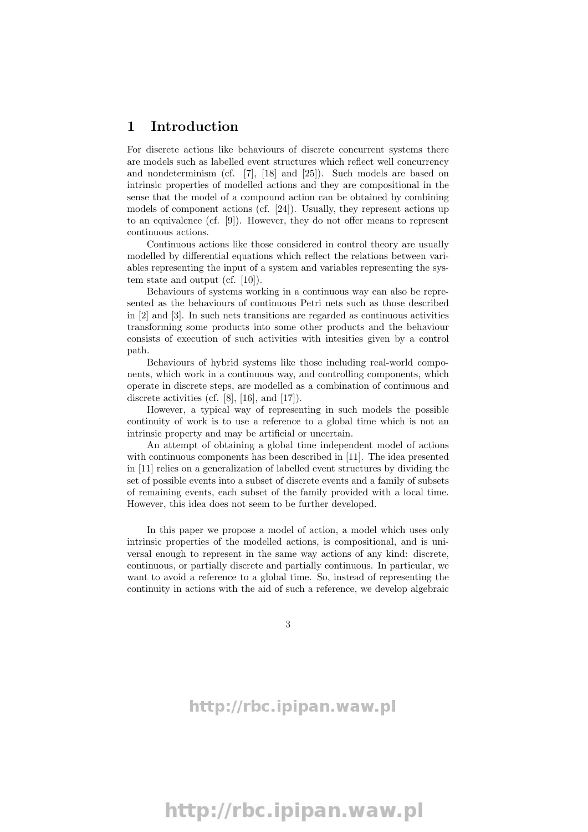### 1 Introduction

For discrete actions like behaviours of discrete concurrent systems there are models such as labelled event structures which reflect well concurrency and nondeterminism (cf. [7], [18] and [25]). Such models are based on intrinsic properties of modelled actions and they are compositional in the sense that the model of a compound action can be obtained by combining models of component actions (cf. [24]). Usually, they represent actions up to an equivalence (cf. [9]). However, they do not offer means to represent continuous actions.

Continuous actions like those considered in control theory are usually modelled by differential equations which reflect the relations between variables representing the input of a system and variables representing the system state and output (cf. [10]).

Behaviours of systems working in a continuous way can also be represented as the behaviours of continuous Petri nets such as those described in [2] and [3]. In such nets transitions are regarded as continuous activities transforming some products into some other products and the behaviour consists of execution of such activities with intesities given by a control path.

Behaviours of hybrid systems like those including real-world components, which work in a continuous way, and controlling components, which operate in discrete steps, are modelled as a combination of continuous and discrete activities (cf. [8], [16], and [17]).

However, a typical way of representing in such models the possible continuity of work is to use a reference to a global time which is not an intrinsic property and may be artificial or uncertain.

An attempt of obtaining a global time independent model of actions with continuous components has been described in [11]. The idea presented in [11] relies on a generalization of labelled event structures by dividing the set of possible events into a subset of discrete events and a family of subsets of remaining events, each subset of the family provided with a local time. However, this idea does not seem to be further developed.

In this paper we propose a model of action, a model which uses only intrinsic properties of the modelled actions, is compositional, and is universal enough to represent in the same way actions of any kind: discrete, continuous, or partially discrete and partially continuous. In particular, we want to avoid a reference to a global time. So, instead of representing the continuity in actions with the aid of such a reference, we develop algebraic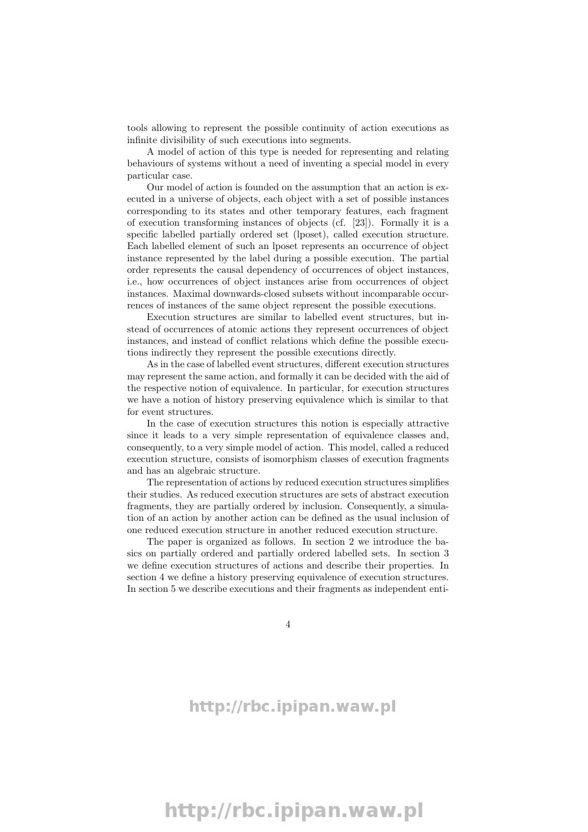tools allowing to represent the possible continuity of action executions as infinite divisibility of such executions into segments.

A model of action of this type is needed for representing and relating behaviours of systems without a need of inventing a special model in every particular case.

Our model of action is founded on the assumption that an action is executed in a universe of objects, each object with a set of possible instances corresponding to its states and other temporary features, each fragment of execution transforming instances of objects (cf. [23]). Formally it is a specific labelled partially ordered set (lposet), called execution structure. Each labelled element of such an lposet represents an occurrence of object instance represented by the label during a possible execution. The partial order represents the causal dependency of occurrences of object instances, i.e., how occurrences of object instances arise from occurrences of object instances. Maximal downwards-closed subsets without incomparable occurrences of instances of the same object represent the possible executions.

Execution structures are similar to labelled event structures, but instead of occurrences of atomic actions they represent occurrences of object instances, and instead of conflict relations which define the possible executions indirectly they represent the possible executions directly.

As in the case of labelled event structures, different execution structures may represent the same action, and formally it can be decided with the aid of the respective notion of equivalence. In particular, for execution structures we have a notion of history preserving equivalence which is similar to that for event structures.

In the case of execution structures this notion is especially attractive since it leads to a very simple representation of equivalence classes and, consequently, to a very simple model of action. This model, called a reduced execution structure, consists of isomorphism classes of execution fragments and has an algebraic structure.

The representation of actions by reduced execution structures simplifies their studies. As reduced execution structures are sets of abstract execution fragments, they are partially ordered by inclusion. Consequently, a simulation of an action by another action can be defined as the usual inclusion of one reduced execution structure in another reduced execution structure.

The paper is organized as follows. In section 2 we introduce the basics on partially ordered and partially ordered labelled sets. In section 3 we define execution structures of actions and describe their properties. In section 4 we define a history preserving equivalence of execution structures. In section 5 we describe executions and their fragments as independent enti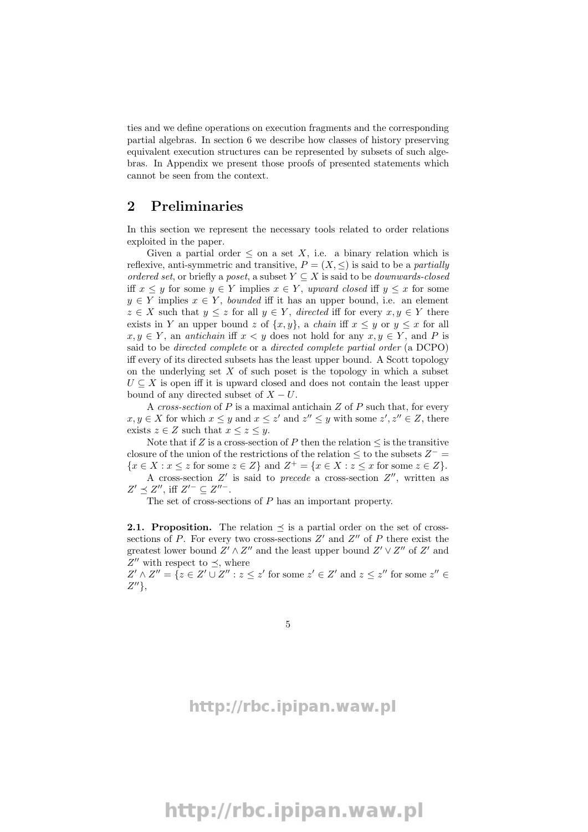ties and we define operations on execution fragments and the corresponding partial algebras. In section 6 we describe how classes of history preserving equivalent execution structures can be represented by subsets of such algebras. In Appendix we present those proofs of presented statements which cannot be seen from the context.

### 2 Preliminaries

In this section we represent the necessary tools related to order relations exploited in the paper.

Given a partial order  $\leq$  on a set X, i.e. a binary relation which is reflexive, anti-symmetric and transitive,  $P = (X, \leq)$  is said to be a *partially* ordered set, or briefly a poset, a subset  $Y \subseteq X$  is said to be *downwards-closed* iff  $x \leq y$  for some  $y \in Y$  implies  $x \in Y$ , upward closed iff  $y \leq x$  for some  $y \in Y$  implies  $x \in Y$ , *bounded* iff it has an upper bound, i.e. an element  $z \in X$  such that  $y \leq z$  for all  $y \in Y$ , directed iff for every  $x, y \in Y$  there exists in Y an upper bound z of  $\{x, y\}$ , a *chain* iff  $x \leq y$  or  $y \leq x$  for all  $x, y \in Y$ , an *antichain* iff  $x < y$  does not hold for any  $x, y \in Y$ , and P is said to be directed complete or a directed complete partial order (a DCPO) iff every of its directed subsets has the least upper bound. A Scott topology on the underlying set  $X$  of such poset is the topology in which a subset  $U \subseteq X$  is open iff it is upward closed and does not contain the least upper bound of any directed subset of  $X - U$ .

A cross-section of  $P$  is a maximal antichain  $Z$  of  $P$  such that, for every  $x, y \in X$  for which  $x \leq y$  and  $x \leq z'$  and  $z'' \leq y$  with some  $z', z'' \in Z$ , there exists  $z \in Z$  such that  $x \leq z \leq y$ .

Note that if Z is a cross-section of P then the relation  $\leq$  is the transitive closure of the union of the restrictions of the relation  $\leq$  to the subsets  $Z^-$  =  $\{x \in X : x \leq z \text{ for some } z \in Z\} \text{ and } Z^+ = \{x \in X : z \leq x \text{ for some } z \in Z\}.$ 

A cross-section  $Z'$  is said to precede a cross-section  $Z''$ , written as  $Z' \preceq Z'',$  iff  $Z'^- \subseteq Z''^-.$ 

The set of cross-sections of P has an important property.

**2.1. Proposition.** The relation  $\preceq$  is a partial order on the set of crosssections of  $P$ . For every two cross-sections  $Z'$  and  $Z''$  of  $P$  there exist the greatest lower bound  $Z' \wedge Z''$  and the least upper bound  $Z' \vee Z''$  of  $Z'$  and  $Z''$  with respect to  $\preceq$ , where

 $Z' \wedge Z'' = \{ z \in Z' \cup Z'' : z \leq z' \text{ for some } z' \in Z' \text{ and } z \leq z'' \text{ for some } z'' \in Z' \}$  $Z^{\prime\prime}\},$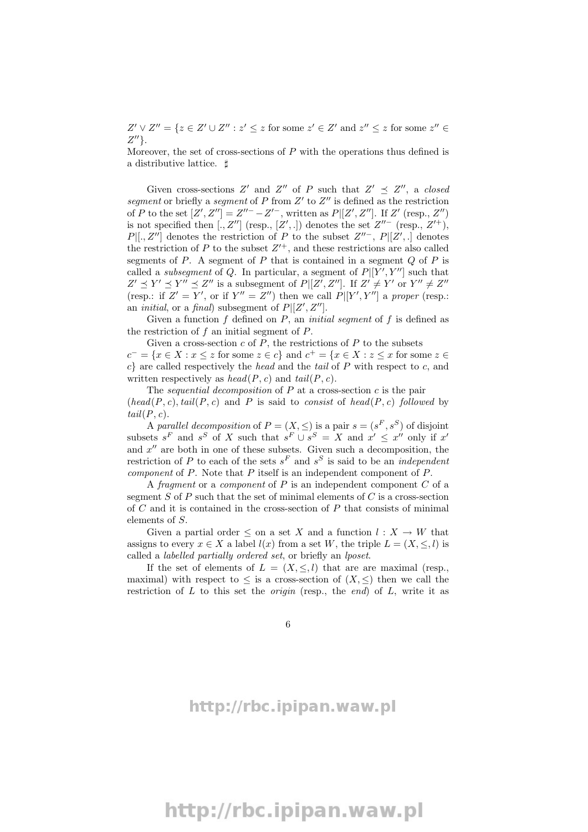$Z' \vee Z'' = \{ z \in Z' \cup Z'' : z' \leq z \text{ for some } z' \in Z' \text{ and } z'' \leq z \text{ for some } z'' \in Z' \}$  $Z^{\prime\prime}$ .

Moreover, the set of cross-sections of  $P$  with the operations thus defined is a distributive lattice.  $\sharp$ 

Given cross-sections Z' and Z'' of P such that  $Z' \preceq Z''$ , a closed segment or briefly a segment of P from  $Z'$  to  $Z''$  is defined as the restriction of P to the set  $[Z', Z''] = Z''^{-} - Z'^{-}$ , written as  $P[[Z', Z'']$ . If  $Z'$  (resp.,  $Z'$ ) is not specified then [., Z''] (resp., [Z',.]) denotes the set  $Z''^-$  (resp.,  $Z'^+$ ),  $P[[., Z'']$  denotes the restriction of P to the subset  $Z''^-$ ,  $P[[Z', .]$  denotes the restriction of  $P$  to the subset  $Z'^{+}$ , and these restrictions are also called segments of  $P$ . A segment of  $P$  that is contained in a segment  $Q$  of  $P$  is called a *subsegment* of Q. In particular, a segment of  $P[[Y', Y'']$  such that  $Z' \preceq Y' \preceq Y'' \preceq Z''$  is a subsegment of  $P[[Z', Z'']]$ . If  $Z' \neq Y'$  or  $Y'' \neq Z''$ (resp.: if  $Z' = Y'$ , or if  $Y'' = Z''$ ) then we call  $P|[Y', Y'']$  a proper (resp.: an *initial*, or a *final*) subsegment of  $P[[Z', Z'']$ .

Given a function  $f$  defined on  $P$ , an *initial segment* of  $f$  is defined as the restriction of  $f$  an initial segment of  $P$ .

Given a cross-section  $c$  of  $P$ , the restrictions of  $P$  to the subsets  $c^- = \{x \in X : x \leq z \text{ for some } z \in c\}$  and  $c^+ = \{x \in X : z \leq x \text{ for some } z \in c\}$  $c$  are called respectively the head and the tail of P with respect to c, and written respectively as  $head(P, c)$  and  $tail(P, c)$ .

The *sequential decomposition* of  $P$  at a cross-section  $c$  is the pair  $(head(P, c), tail(P, c)$  and P is said to consist of head(P, c) followed by  $tail(P, c)$ .

A parallel decomposition of  $P = (X, \leq)$  is a pair  $s = (s^F, s^S)$  of disjoint subsets  $s^F$  and  $s^S$  of X such that  $s^F \cup s^S = X$  and  $x' \leq x''$  only if  $x'$ and  $x''$  are both in one of these subsets. Given such a decomposition, the restriction of P to each of the sets  $s<sup>F</sup>$  and  $s<sup>S</sup>$  is said to be an *independent* component of P. Note that P itself is an independent component of P.

A fragment or a component of  $P$  is an independent component  $C$  of a segment  $S$  of  $P$  such that the set of minimal elements of  $C$  is a cross-section of  $C$  and it is contained in the cross-section of  $P$  that consists of minimal elements of S.

Given a partial order  $\leq$  on a set X and a function  $l : X \to W$  that assigns to every  $x \in X$  a label  $l(x)$  from a set W, the triple  $L = (X, \leq, l)$  is called a labelled partially ordered set, or briefly an lposet.

If the set of elements of  $L = (X, \leq, l)$  that are are maximal (resp., maximal) with respect to  $\leq$  is a cross-section of  $(X, \leq)$  then we call the restriction of  $L$  to this set the *origin* (resp., the end) of  $L$ , write it as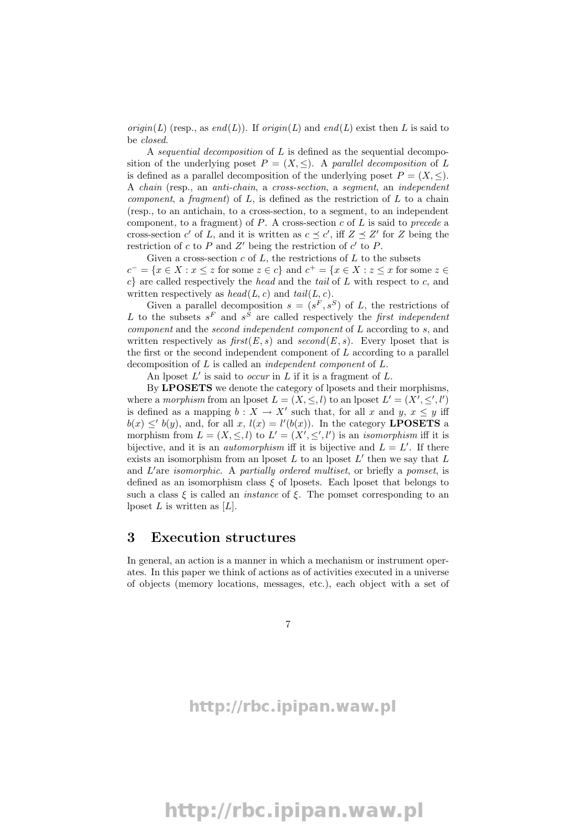origin(L) (resp., as end(L)). If origin(L) and end(L) exist then L is said to be closed.

A sequential decomposition of L is defined as the sequential decomposition of the underlying poset  $P = (X, \leq)$ . A parallel decomposition of L is defined as a parallel decomposition of the underlying poset  $P = (X, \leq)$ . A chain (resp., an anti-chain, a cross-section, a segment, an independent *component*, a *fragment*) of  $L$ , is defined as the restriction of  $L$  to a chain (resp., to an antichain, to a cross-section, to a segment, to an independent component, to a fragment) of  $P$ . A cross-section  $c$  of  $L$  is said to precede a cross-section c' of L, and it is written as  $c \preceq c'$ , iff  $Z \preceq Z'$  for Z being the restriction of  $c$  to  $P$  and  $Z'$  being the restriction of  $c'$  to  $P$ .

Given a cross-section  $c$  of  $L$ , the restrictions of  $L$  to the subsets  $c^- = \{x \in X : x \leq z \text{ for some } z \in c\}$  and  $c^+ = \{x \in X : z \leq x \text{ for some } z \in c\}$  $c$  are called respectively the head and the tail of L with respect to c, and written respectively as  $head(L, c)$  and  $tail(L, c)$ .

Given a parallel decomposition  $s = (s^F, s^S)$  of L, the restrictions of L to the subsets  $s^F$  and  $s^S$  are called respectively the first independent component and the second independent component of L according to s, and written respectively as  $first(E, s)$  and  $second(E, s)$ . Every lposet that is the first or the second independent component of  $L$  according to a parallel decomposition of L is called an independent component of L.

An lposet  $L'$  is said to *occur* in  $L$  if it is a fragment of  $L$ .

By **LPOSETS** we denote the category of lposets and their morphisms, where a morphism from an lposet  $L = (X, \leq, l)$  to an lposet  $L' = (X', \leq', l')$ is defined as a mapping  $b: X \to X'$  such that, for all x and y,  $x \leq y$  iff  $b(x) \leq b(y)$ , and, for all x,  $l(x) = l'(b(x))$ . In the category **LPOSETS** a morphism from  $L = (X, \leq, l)$  to  $L' = (X', \leq', l')$  is an *isomorphism* iff it is bijective, and it is an *automorphism* iff it is bijective and  $L = L'$ . If there exists an isomorphism from an lposet  $L$  to an lposet  $L'$  then we say that  $L$ and  $L'$ are *isomorphic*. A *partially ordered multiset*, or briefly a *pomset*, is defined as an isomorphism class  $\xi$  of lposets. Each lposet that belongs to such a class  $\xi$  is called an *instance* of  $\xi$ . The pomset corresponding to an lposet  $L$  is written as  $[L]$ .

### 3 Execution structures

In general, an action is a manner in which a mechanism or instrument operates. In this paper we think of actions as of activities executed in a universe of objects (memory locations, messages, etc.), each object with a set of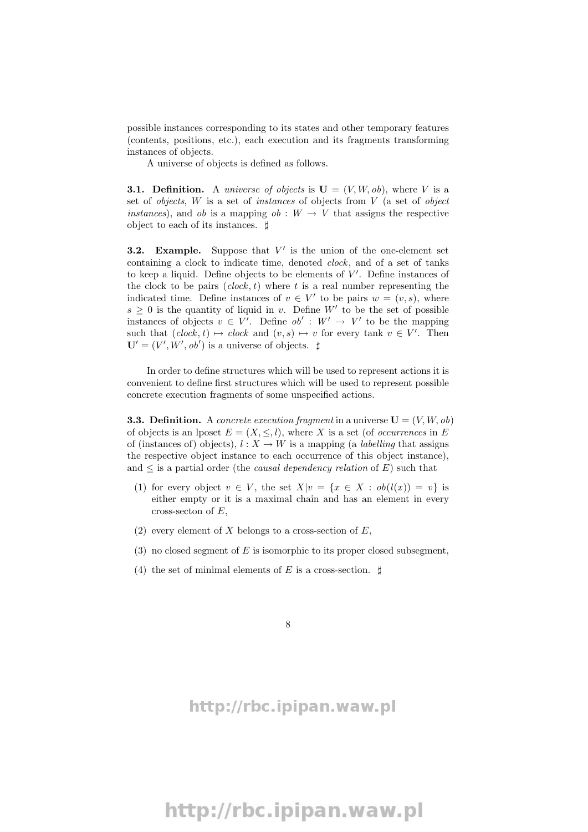possible instances corresponding to its states and other temporary features (contents, positions, etc.), each execution and its fragments transforming instances of objects.

A universe of objects is defined as follows.

**3.1. Definition.** A *universe of objects* is  $\mathbf{U} = (V, W, ob)$ , where V is a set of *objects*,  $W$  is a set of *instances* of objects from  $V$  (a set of *object instances*), and *ob* is a mapping  $ob: W \rightarrow V$  that assigns the respective object to each of its instances.  $\sharp$ 

**3.2.** Example. Suppose that  $V'$  is the union of the one-element set containing a clock to indicate time, denoted clock, and of a set of tanks to keep a liquid. Define objects to be elements of  $V'$ . Define instances of the clock to be pairs  $(clock, t)$  where t is a real number representing the indicated time. Define instances of  $v \in V'$  to be pairs  $w = (v, s)$ , where  $s \geq 0$  is the quantity of liquid in v. Define W' to be the set of possible instances of objects  $v \in V'$ . Define  $ob' : W' \to V'$  to be the mapping such that  $(clock, t) \mapsto clock$  and  $(v, s) \mapsto v$  for every tank  $v \in V'$ . Then  $\mathbf{U}' = (V', \dot{W}', ob')$  is a universe of objects.  $\sharp$ 

In order to define structures which will be used to represent actions it is convenient to define first structures which will be used to represent possible concrete execution fragments of some unspecified actions.

**3.3. Definition.** A concrete execution fragment in a universe  $U = (V, W, ob)$ of objects is an lposet  $E = (X, \leq, l)$ , where X is a set (of *occurrences* in E of (instances of) objects),  $l : X \to W$  is a mapping (a *labelling* that assigns the respective object instance to each occurrence of this object instance), and  $\leq$  is a partial order (the *causal dependency relation* of E) such that

- (1) for every object  $v \in V$ , the set  $X|v = \{x \in X : ob(l(x)) = v\}$  is either empty or it is a maximal chain and has an element in every cross-secton of  $E$ ,
- (2) every element of X belongs to a cross-section of  $E$ ,
- (3) no closed segment of  $E$  is isomorphic to its proper closed subsegment,
- (4) the set of minimal elements of E is a cross-section.  $\sharp$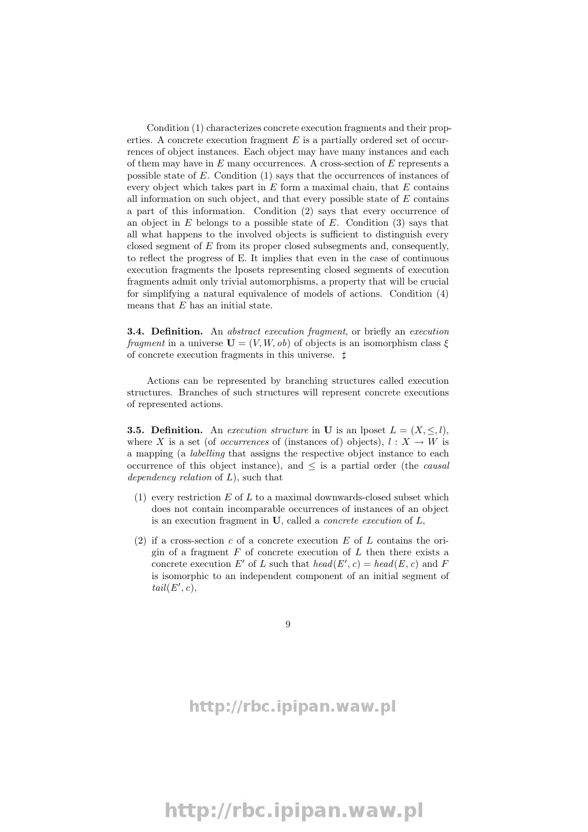Condition (1) characterizes concrete execution fragments and their properties. A concrete execution fragment  $E$  is a partially ordered set of occurrences of object instances. Each object may have many instances and each of them may have in  $E$  many occurrences. A cross-section of  $E$  represents a possible state of E. Condition (1) says that the occurrences of instances of every object which takes part in  $E$  form a maximal chain, that  $E$  contains all information on such object, and that every possible state of  $E$  contains a part of this information. Condition (2) says that every occurrence of an object in  $E$  belongs to a possible state of  $E$ . Condition (3) says that all what happens to the involved objects is sufficient to distinguish every closed segment of E from its proper closed subsegments and, consequently, to reflect the progress of E. It implies that even in the case of continuous execution fragments the lposets representing closed segments of execution fragments admit only trivial automorphisms, a property that will be crucial for simplifying a natural equivalence of models of actions. Condition (4) means that  $E$  has an initial state.

**3.4. Definition.** An abstract execution fragment, or briefly an execution fragment in a universe  $U = (V, W, ob)$  of objects is an isomorphism class  $\xi$ of concrete execution fragments in this universe.  $\sharp$ 

Actions can be represented by branching structures called execution structures. Branches of such structures will represent concrete executions of represented actions.

**3.5. Definition.** An execution structure in U is an lposet  $L = (X, \leq, l)$ , where X is a set (of *occurrences* of (instances of) objects),  $l: X \to W$  is a mapping (a labelling that assigns the respective object instance to each occurrence of this object instance), and  $\leq$  is a partial order (the *causal* dependency relation of  $L$ ), such that

- $(1)$  every restriction E of L to a maximal downwards-closed subset which does not contain incomparable occurrences of instances of an object is an execution fragment in  $U$ , called a *concrete execution* of  $L$ ,
- (2) if a cross-section c of a concrete execution  $E$  of  $L$  contains the origin of a fragment  $F$  of concrete execution of  $L$  then there exists a concrete execution E' of L such that  $head(E', c) = head(E, c)$  and F is isomorphic to an independent component of an initial segment of  $tail(E', c),$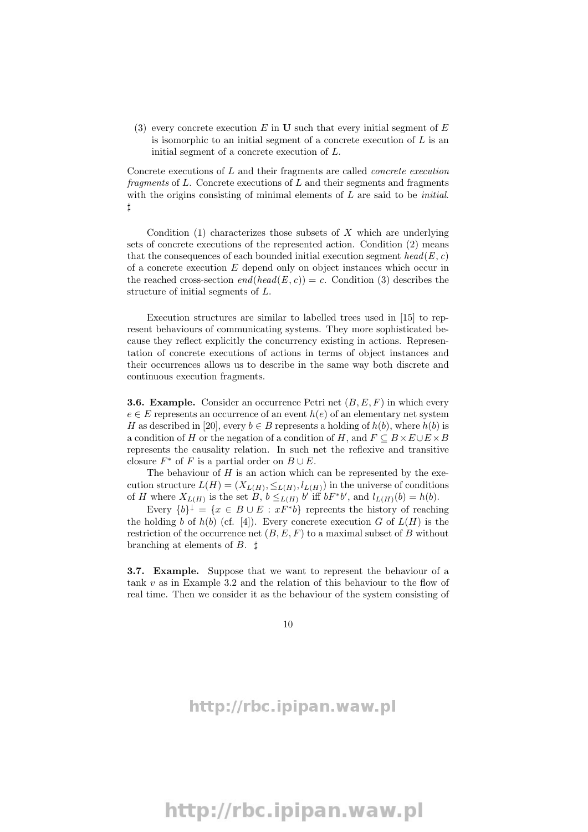(3) every concrete execution E in U such that every initial segment of  $E$ is isomorphic to an initial segment of a concrete execution of  $L$  is an initial segment of a concrete execution of L.

Concrete executions of L and their fragments are called concrete execution fragments of  $L$ . Concrete executions of  $L$  and their segments and fragments with the origins consisting of minimal elements of  $L$  are said to be *initial*.  $\sharp$ 

Condition  $(1)$  characterizes those subsets of X which are underlying sets of concrete executions of the represented action. Condition (2) means that the consequences of each bounded initial execution segment  $head(E, c)$ of a concrete execution  $E$  depend only on object instances which occur in the reached cross-section  $end(head(E, c)) = c$ . Condition (3) describes the structure of initial segments of L.

Execution structures are similar to labelled trees used in [15] to represent behaviours of communicating systems. They more sophisticated because they reflect explicitly the concurrency existing in actions. Representation of concrete executions of actions in terms of object instances and their occurrences allows us to describe in the same way both discrete and continuous execution fragments.

**3.6. Example.** Consider an occurrence Petri net  $(B, E, F)$  in which every  $e \in E$  represents an occurrence of an event  $h(e)$  of an elementary net system H as described in [20], every  $b \in B$  represents a holding of  $h(b)$ , where  $h(b)$  is a condition of H or the negation of a condition of H, and  $F \subseteq B \times E \cup E \times B$ represents the causality relation. In such net the reflexive and transitive closure  $F^*$  of F is a partial order on  $B \cup E$ .

The behaviour of  $H$  is an action which can be represented by the execution structure  $L(H) = (X_{L(H)}, \leq_{L(H)}, l_{L(H)})$  in the universe of conditions of H where  $X_{L(H)}$  is the set  $B, b \leq_{L(H)} b'$  iff  $bF^*b'$ , and  $l_{L(H)}(b) = h(b)$ .

Every  $\{b\}^{\downarrow} = \{x \in B \cup E : xF^*b\}$  repreents the history of reaching the holding b of  $h(b)$  (cf. [4]). Every concrete execution G of  $L(H)$  is the restriction of the occurrence net  $(B, E, F)$  to a maximal subset of B without branching at elements of  $B$ .  $\sharp$ 

3.7. Example. Suppose that we want to represent the behaviour of a tank  $v$  as in Example 3.2 and the relation of this behaviour to the flow of real time. Then we consider it as the behaviour of the system consisting of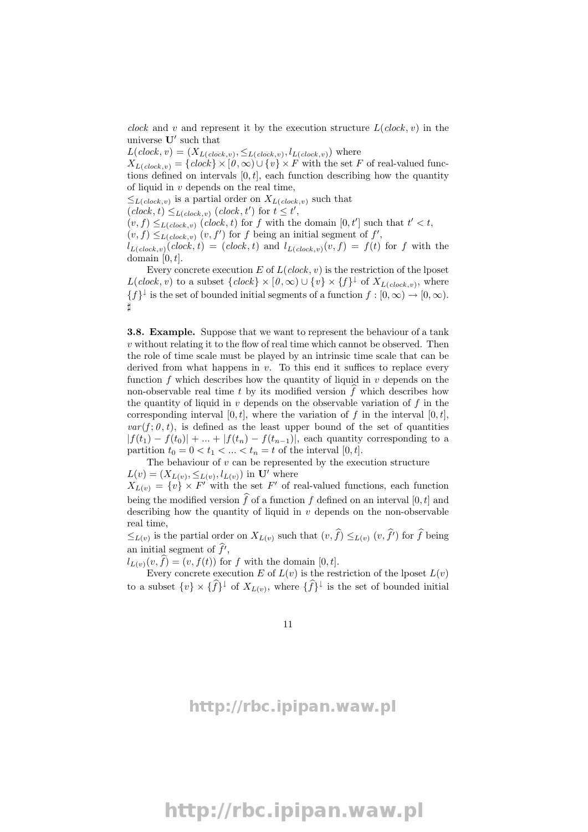clock and v and represent it by the execution structure  $L(clock, v)$  in the universe  $\mathbf{U}'$  such that

 $L(clock, v) = (X_{L(clock, v)}, \leq_{L(clock, v)}, l_{L(clock, v)})$  where

 $X_{L(clock,v)} = \{clock\} \times [0,\infty) \cup \{v\} \times F$  with the set F of real-valued functions defined on intervals  $[0, t]$ , each function describing how the quantity of liquid in  $v$  depends on the real time,

 $\leq_{L(clock,v)}$  is a partial order on  $X_{L(clock,v)}$  such that

 $(clock, t) \leq_{L(clock, v)} (clock, t')$  for  $t \leq t'$ ,

 $(v, f) \leq_{L(clock, v)} (clock, t)$  for f with the domain  $[0, t']$  such that  $t' < t$ ,

 $(v, f) \leq_{L(clock, v)} (v, f')$  for f being an initial segment of f',

 $l_{L(clock, v)}(clock, t) = (clock, t)$  and  $l_{L(clock, v)}(v, f) = f(t)$  for f with the domain  $[0, t]$ .

Every concrete execution  $E$  of  $L(clock, v)$  is the restriction of the lposet  $L(clock, v)$  to a subset  ${clock} \times [0, \infty) \cup \{v\} \times \{f\}^{\downarrow}$  of  $X_{L(clock, v)}$ , where  $\{f\}^{\downarrow}$  is the set of bounded initial segments of a function  $f : [0, \infty) \to [0, \infty)$ .  $\sharp$ 

3.8. Example. Suppose that we want to represent the behaviour of a tank v without relating it to the flow of real time which cannot be observed. Then the role of time scale must be played by an intrinsic time scale that can be derived from what happens in  $v$ . To this end it suffices to replace every function  $f$  which describes how the quantity of liquid in  $v$  depends on the non-observable real time t by its modified version  $f$  which describes how the quantity of liquid in  $v$  depends on the observable variation of  $f$  in the corresponding interval  $[0, t]$ , where the variation of f in the interval  $[0, t]$ ,  $var(f; \theta, t)$ , is defined as the least upper bound of the set of quantities  $|f(t_1) - f(t_0)| + \ldots + |f(t_n) - f(t_{n-1})|$ , each quantity corresponding to a partition  $t_0 = 0 < t_1 < \ldots < t_n = t$  of the interval  $[0, t]$ .

The behaviour of  $v$  can be represented by the execution structure  $L(v) = (X_{L(v)}, \leq_{L(v)}, l_{L(v)})$  in **U'** where

 $X_{L(v)} = \{v\} \times F'$  with the set F' of real-valued functions, each function being the modified version  $\widehat{f}$  of a function f defined on an interval [0, t] and describing how the quantity of liquid in  $v$  depends on the non-observable real time,

 $\leq_{L(v)}$  is the partial order on  $X_{L(v)}$  such that  $(v, f) \leq_{L(v)} (v, f')$  for f being an initial segment of  $f'$ ,

 $l_{L(v)}(v, \hat{f}) = (v, f(t))$  for f with the domain  $[0, t]$ .

Every concrete execution E of  $L(v)$  is the restriction of the lposet  $L(v)$ to a subset  $\{v\} \times \{\hat{f}\}^{\downarrow}$  of  $X_{L(v)}$ , where  $\{\hat{f}\}^{\downarrow}$  is the set of bounded initial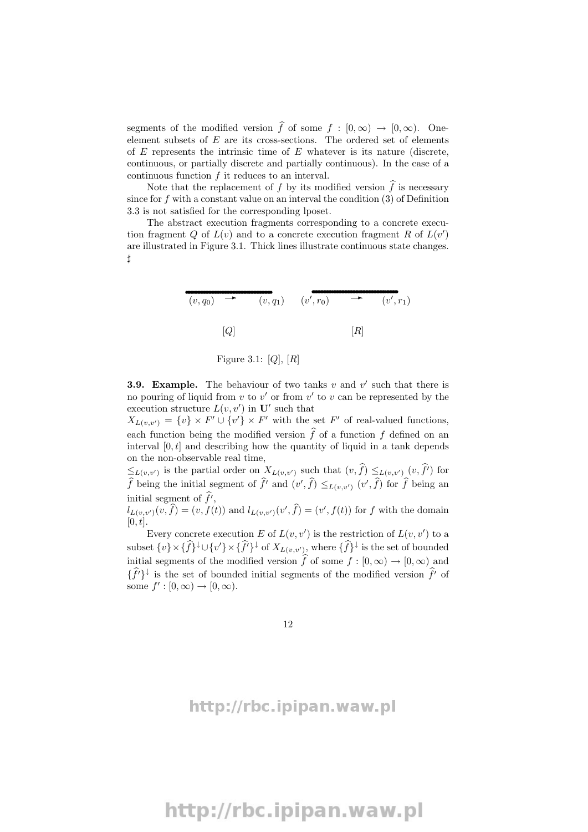segments of the modified version  $\hat{f}$  of some  $f : [0, \infty) \to [0, \infty)$ . Oneelement subsets of  $E$  are its cross-sections. The ordered set of elements of  $E$  represents the intrinsic time of  $E$  whatever is its nature (discrete, continuous, or partially discrete and partially continuous). In the case of a continuous function f it reduces to an interval.

Note that the replacement of f by its modified version  $\widehat{f}$  is necessary since for  $f$  with a constant value on an interval the condition  $(3)$  of Definition 3.3 is not satisfied for the corresponding lposet.

The abstract execution fragments corresponding to a concrete execution fragment Q of  $L(v)$  and to a concrete execution fragment R of  $L(v')$ are illustrated in Figure 3.1. Thick lines illustrate continuous state changes. ]

$$
(v,q_0) \rightarrow (v,q_1) \quad (v',r_0) \rightarrow (v',r_1)
$$
  
[Q] [R]

Figure 3.1:  $[Q]$ ,  $[R]$ 

**3.9. Example.** The behaviour of two tanks  $v$  and  $v'$  such that there is no pouring of liquid from  $v$  to  $v'$  or from  $v'$  to  $v$  can be represented by the execution structure  $L(v, v')$  in  $\mathbf{U}'$  such that

 $X_{L(v,v')} = \{v\} \times F' \cup \{v'\} \times F'$  with the set F' of real-valued functions, each function being the modified version  $\hat{f}$  of a function f defined on an interval  $[0, t]$  and describing how the quantity of liquid in a tank depends on the non-observable real time,

 $\leq_{L(v,v')}$  is the partial order on  $X_{L(v,v')}$  such that  $(v, f) \leq_{L(v,v')} (v, f')$  for  $\widehat{f}$  being the initial segment of  $\widehat{f}'$  and  $(v', \widehat{f}) \leq_{L(v,v')} (v', \widehat{f})$  for  $\widehat{f}$  being an initial segment of  $\hat{f}$ ,

 $l_{L(v,v')}(v,\hat{f}) = (v, f(t))$  and  $l_{L(v,v')}(v',\hat{f}) = (v', f(t))$  for f with the domain  $[0, t]$ .

Every concrete execution E of  $L(v, v')$  is the restriction of  $L(v, v')$  to a subset  $\{v\} \times {\{\hat{f}\}}^{\downarrow} \cup \{v'\} \times {\{\hat{f'}\}}^{\downarrow}$  of  $X_{L(v,v')},$  where  $\{\hat{f}\}^{\downarrow}$  is the set of bounded initial segments of the modified version  $\hat{f}$  of some  $f : [0, \infty) \to [0, \infty)$  and  $\{\hat{f}'\}^{\downarrow}$  is the set of bounded initial segments of the modified version  $\hat{f}'$  of some  $f' : [0, \infty) \to [0, \infty)$ .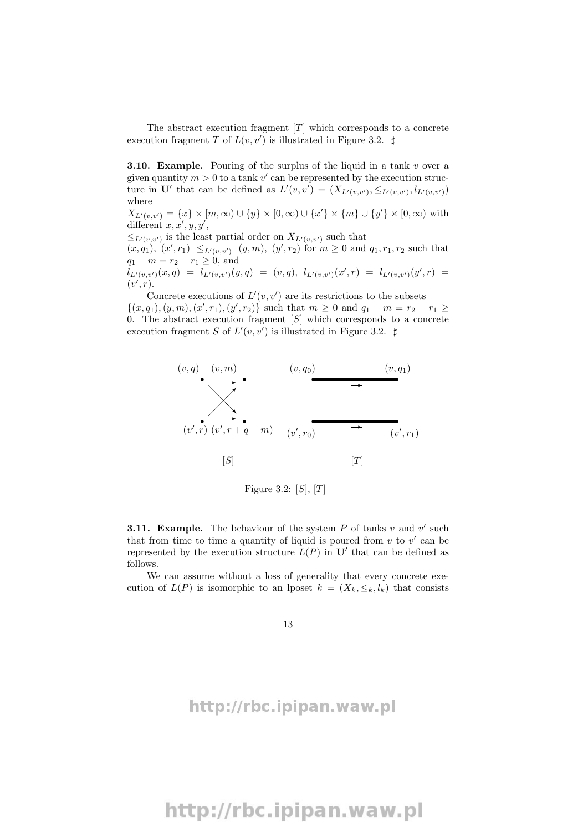The abstract execution fragment  $[T]$  which corresponds to a concrete execution fragment T of  $L(v, v')$  is illustrated in Figure 3.2.  $\sharp$ 

**3.10. Example.** Pouring of the surplus of the liquid in a tank  $v$  over a given quantity  $m > 0$  to a tank  $v'$  can be represented by the execution structure in U' that can be defined as  $L'(v, v') = (X_{L'(v, v')}, \leq_{L'(v, v')}, l_{L'(v, v')})$ where

 $X_{L'(v,v')} = \{x\} \times [m,\infty) \cup \{y\} \times [0,\infty) \cup \{x'\} \times \{m\} \cup \{y'\} \times [0,\infty)$  with different  $x, x', y, y',$ 

 $\leq_{L'(v,v')}$  is the least partial order on  $X_{L'(v,v')}$  such that

 $(x, q_1), (x', r_1) \leq_{L'(v, v')} (y, m), (y', r_2) \text{ for } m \geq 0 \text{ and } q_1, r_1, r_2 \text{ such that }$  $q_1 - m = r_2 - r_1 \geq 0$ , and

 $l_{L'(v,v')}(x,q) = l_{L'(v,v')}(y,q) = (v,q), l_{L'(v,v')}(x',r) = l_{L'(v,v')}(y',r) =$  $(v',r).$ 

Concrete executions of  $L'(v, v')$  are its restrictions to the subsets  $\{(x, q_1), (y, m), (x', r_1), (y', r_2)\}\$  such that  $m \geq 0$  and  $q_1 - m = r_2 - r_1 \geq$ 0. The abstract execution fragment  $[S]$  which corresponds to a concrete execution fragment S of  $L'(v, v')$  is illustrated in Figure 3.2.  $\sharp$ 



Figure 3.2:  $[S], [T]$ 

**3.11. Example.** The behaviour of the system  $P$  of tanks  $v$  and  $v'$  such that from time to time a quantity of liquid is poured from  $v$  to  $v'$  can be represented by the execution structure  $L(P)$  in  $\mathbf{U}'$  that can be defined as follows.

We can assume without a loss of generality that every concrete execution of  $L(P)$  is isomorphic to an lposet  $k = (X_k, \leq_k, l_k)$  that consists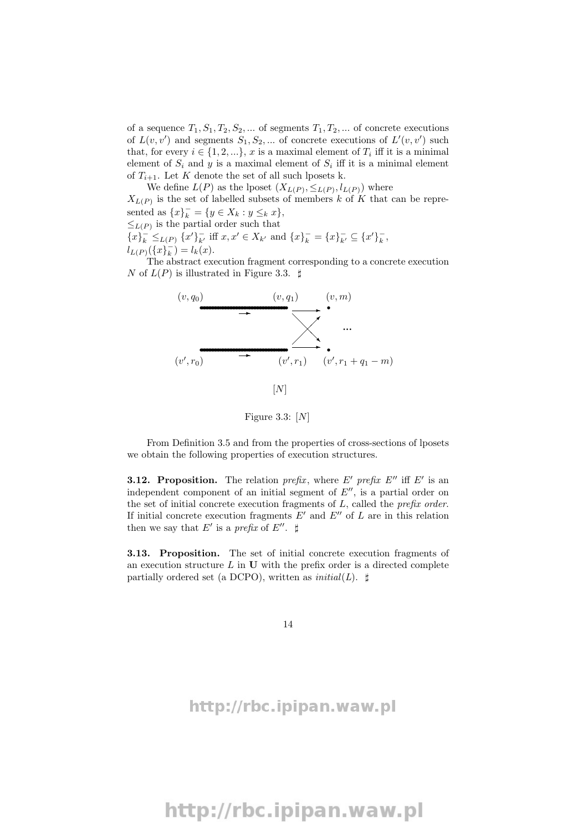of a sequence  $T_1, S_1, T_2, S_2, \dots$  of segments  $T_1, T_2, \dots$  of concrete executions of  $L(v, v')$  and segments  $S_1, S_2, \dots$  of concrete executions of  $L'(v, v')$  such that, for every  $i \in \{1, 2, ...\}$ , x is a maximal element of  $T_i$  iff it is a minimal element of  $S_i$  and y is a maximal element of  $S_i$  iff it is a minimal element of  $T_{i+1}$ . Let K denote the set of all such lposets k.

We define  $L(P)$  as the lposet  $(X_{L(P)}, \leq_{L(P)}, l_{L(P)})$  where  $X_{L(P)}$  is the set of labelled subsets of members k of K that can be represented as  ${x\}_{k}^{-} = {y \in X_{k} : y \leq_{k} x}$ ,  $\leq_{L(P)}$  is the partial order such that  ${x \brace k}^{\top} \leq_{L(P)} {x' \brace k'}$  iff  $x, x' \in X_{k'}$  and  ${x \brace k}^{\top} = {x \brace k}^{\top} \subseteq {x' \brace k}^{\top}$  $l_{L(P)}(\{x\}_{k}^{-}) = l_{k}(x).$ 

The abstract execution fragment corresponding to a concrete execution N of  $L(P)$  is illustrated in Figure 3.3.  $\sharp$ 



Figure 3.3:  $[N]$ 

From Definition 3.5 and from the properties of cross-sections of lposets we obtain the following properties of execution structures.

**3.12. Proposition.** The relation prefix, where E' prefix E'' iff E' is an independent component of an initial segment of  $E''$ , is a partial order on the set of initial concrete execution fragments of  $L$ , called the *prefix order*. If initial concrete execution fragments  $E'$  and  $E''$  of L are in this relation then we say that E' is a prefix of E''.  $\sharp$ 

3.13. Proposition. The set of initial concrete execution fragments of an execution structure  $L$  in  $U$  with the prefix order is a directed complete partially ordered set (a DCPO), written as  $initial(L)$ .  $\sharp$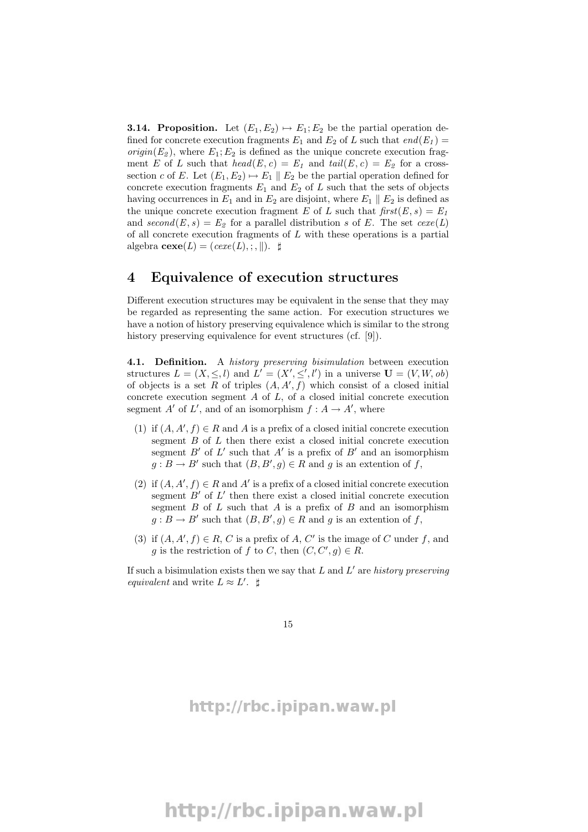**3.14. Proposition.** Let  $(E_1, E_2) \mapsto E_1; E_2$  be the partial operation defined for concrete execution fragments  $E_1$  and  $E_2$  of L such that  $end(E_1)$  =  $origin(E_2)$ , where  $E_1; E_2$  is defined as the unique concrete execution fragment E of L such that  $head(E, c) = E_1$  and  $tail(E, c) = E_2$  for a crosssection c of E. Let  $(E_1, E_2) \mapsto E_1 \parallel E_2$  be the partial operation defined for concrete execution fragments  $E_1$  and  $E_2$  of L such that the sets of objects having occurrences in  $E_1$  and in  $E_2$  are disjoint, where  $E_1 \parallel E_2$  is defined as the unique concrete execution fragment E of L such that  $first(E, s) = E_1$ and  $second(E, s) = E_2$  for a parallel distribution s of E. The set  $cexe(L)$ of all concrete execution fragments of  $L$  with these operations is a partial algebra  $\mathbf{cexe}(L) = (cexe(L), \cdot, \cdot)$ .

### 4 Equivalence of execution structures

Different execution structures may be equivalent in the sense that they may be regarded as representing the same action. For execution structures we have a notion of history preserving equivalence which is similar to the strong history preserving equivalence for event structures (cf. [9]).

4.1. Definition. A history preserving bisimulation between execution structures  $L = (X, \leq, l)$  and  $L' = (X', \leq', l')$  in a universe  $\mathbf{U} = (V, W, ob)$ of objects is a set R of triples  $(A, A', f)$  which consist of a closed initial concrete execution segment  $A$  of  $L$ , of a closed initial concrete execution segment A' of L', and of an isomorphism  $f : A \to A'$ , where

- (1) if  $(A, A', f) \in R$  and A is a prefix of a closed initial concrete execution segment B of L then there exist a closed initial concrete execution segment  $B'$  of  $L'$  such that  $A'$  is a prefix of  $B'$  and an isomorphism  $g : B \to B'$  such that  $(B, B', g) \in R$  and g is an extention of f,
- (2) if  $(A, A', f) \in R$  and A' is a prefix of a closed initial concrete execution segment  $B'$  of  $L'$  then there exist a closed initial concrete execution segment  $B$  of  $L$  such that  $A$  is a prefix of  $B$  and an isomorphism  $g : B \to B'$  such that  $(B, B', g) \in R$  and g is an extention of f,
- (3) if  $(A, A', f) \in R$ , C is a prefix of A, C' is the image of C under f, and g is the restriction of f to C, then  $(C, C', g) \in R$ .

If such a bisimulation exists then we say that  $L$  and  $L'$  are history preserving equivalent and write  $L \approx L'$ .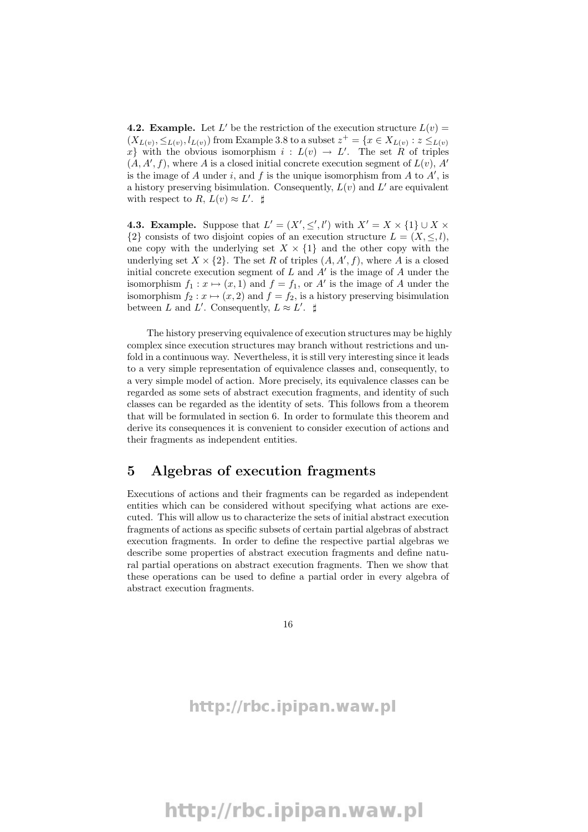**4.2. Example.** Let L' be the restriction of the execution structure  $L(v)$  =  $(X_{L(v)}, \leq_{L(v)}, l_{L(v)})$  from Example 3.8 to a subset  $z^+ = \{x \in X_{L(v)} : z \leq_{L(v)}\}$ x isomorphism  $i: L(v) \to L'$ . The set R of triples  $(A, A', f)$ , where A is a closed initial concrete execution segment of  $L(v)$ , A' is the image of A under i, and f is the unique isomorphism from A to  $A'$ , is a history preserving bisimulation. Consequently,  $L(v)$  and  $L'$  are equivalent with respect to R,  $L(v) \approx L'$ .

**4.3. Example.** Suppose that  $L' = (X', \leq', l')$  with  $X' = X \times \{1\} \cup X \times \{1\}$  $\{2\}$  consists of two disjoint copies of an execution structure  $L = (X, \leq, l),$ one copy with the underlying set  $X \times \{1\}$  and the other copy with the underlying set  $X \times \{2\}$ . The set R of triples  $(A, A', f)$ , where A is a closed initial concrete execution segment of  $L$  and  $A'$  is the image of  $A$  under the isomorphism  $f_1: x \mapsto (x, 1)$  and  $f = f_1$ , or A' is the image of A under the isomorphism  $f_2 : x \mapsto (x, 2)$  and  $f = f_2$ , is a history preserving bisimulation between L and L'. Consequently,  $L \approx L'$ .

The history preserving equivalence of execution structures may be highly complex since execution structures may branch without restrictions and unfold in a continuous way. Nevertheless, it is still very interesting since it leads to a very simple representation of equivalence classes and, consequently, to a very simple model of action. More precisely, its equivalence classes can be regarded as some sets of abstract execution fragments, and identity of such classes can be regarded as the identity of sets. This follows from a theorem that will be formulated in section 6. In order to formulate this theorem and derive its consequences it is convenient to consider execution of actions and their fragments as independent entities.

## 5 Algebras of execution fragments

Executions of actions and their fragments can be regarded as independent entities which can be considered without specifying what actions are executed. This will allow us to characterize the sets of initial abstract execution fragments of actions as specific subsets of certain partial algebras of abstract execution fragments. In order to define the respective partial algebras we describe some properties of abstract execution fragments and define natural partial operations on abstract execution fragments. Then we show that these operations can be used to define a partial order in every algebra of abstract execution fragments.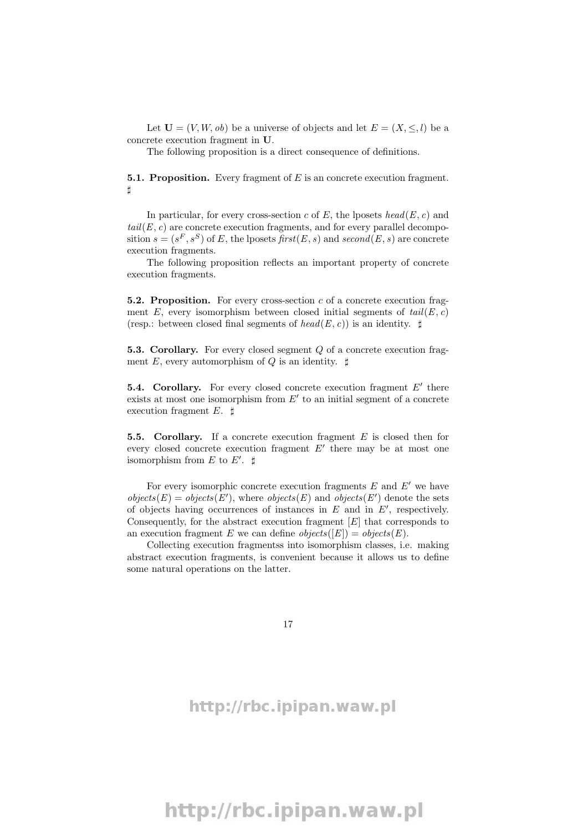Let  $U = (V, W, ob)$  be a universe of objects and let  $E = (X, \leq, l)$  be a concrete execution fragment in U.

The following proposition is a direct consequence of definitions.

**5.1. Proposition.** Every fragment of  $E$  is an concrete execution fragment.  $\sharp$ 

In particular, for every cross-section c of E, the lposets head(E, c) and  $tail(E, c)$  are concrete execution fragments, and for every parallel decomposition  $s = (s^F, s^S)$  of E, the lposets  $first(E, s)$  and  $second(E, s)$  are concrete execution fragments.

The following proposition reflects an important property of concrete execution fragments.

**5.2. Proposition.** For every cross-section c of a concrete execution fragment E, every isomorphism between closed initial segments of  $tail(E, c)$ (resp.: between closed final segments of  $head(E, c)$ ) is an identity.  $\sharp$ 

**5.3. Corollary.** For every closed segment Q of a concrete execution fragment E, every automorphism of Q is an identity.  $\sharp$ 

**5.4. Corollary.** For every closed concrete execution fragment  $E'$  there exists at most one isomorphism from  $E'$  to an initial segment of a concrete execution fragment  $E$ .  $\sharp$ 

5.5. Corollary. If a concrete execution fragment  $E$  is closed then for every closed concrete execution fragment  $E'$  there may be at most one isomorphism from E to E'.  $\sharp$ 

For every isomorphic concrete execution fragments  $E$  and  $E'$  we have  $objects(E) = objects(E'),$  where  $objects(E)$  and  $objects(E')$  denote the sets of objects having occurrences of instances in  $E$  and in  $E'$ , respectively. Consequently, for the abstract execution fragment  $[E]$  that corresponds to an execution fragment E we can define  $objects([E]) = objects(E)$ .

Collecting execution fragmentss into isomorphism classes, i.e. making abstract execution fragments, is convenient because it allows us to define some natural operations on the latter.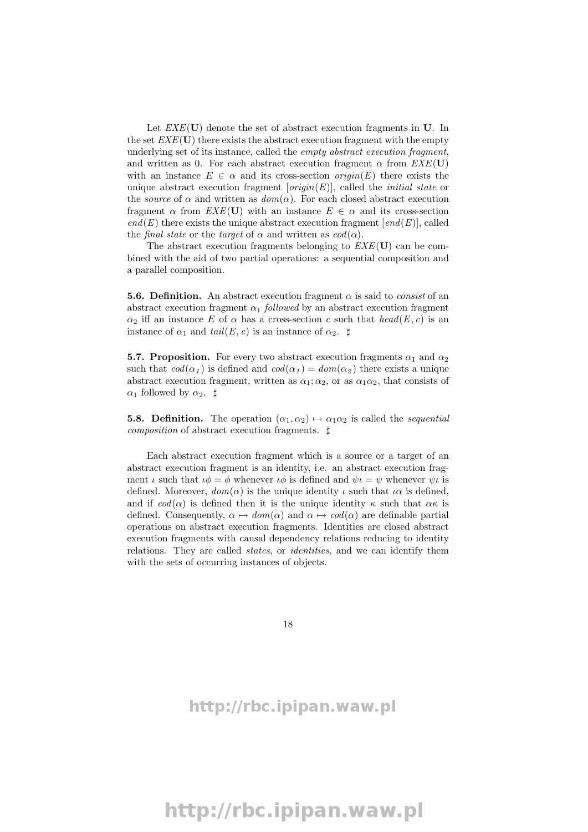Let  $EXE(U)$  denote the set of abstract execution fragments in U. In the set  $EXE(U)$  there exists the abstract execution fragment with the empty underlying set of its instance, called the *empty abstract execution fragment*, and written as 0. For each abstract execution fragment  $\alpha$  from  $EXE(U)$ with an instance  $E \in \alpha$  and its cross-section  $origin(E)$  there exists the unique abstract execution fragment  $[origin(E)]$ , called the *initial state* or the *source* of  $\alpha$  and written as  $dom(\alpha)$ . For each closed abstract execution fragment  $\alpha$  from  $EXE(\mathbf{U})$  with an instance  $E \in \alpha$  and its cross-section  $end(E)$  there exists the unique abstract execution fragment  $[end(E)]$ , called the final state or the target of  $\alpha$  and written as  $cod(\alpha)$ .

The abstract execution fragments belonging to  $EXE(U)$  can be combined with the aid of two partial operations: a sequential composition and a parallel composition.

**5.6. Definition.** An abstract execution fragment  $\alpha$  is said to *consist* of an abstract execution fragment  $\alpha_1$  followed by an abstract execution fragment  $\alpha_2$  iff an instance E of  $\alpha$  has a cross-section c such that  $head(E, c)$  is an instance of  $\alpha_1$  and  $tail(E, c)$  is an instance of  $\alpha_2$ .  $\sharp$ 

**5.7. Proposition.** For every two abstract execution fragments  $\alpha_1$  and  $\alpha_2$ such that  $cod(\alpha_1)$  is defined and  $cod(\alpha_1) = dom(\alpha_2)$  there exists a unique abstract execution fragment, written as  $\alpha_1; \alpha_2$ , or as  $\alpha_1 \alpha_2$ , that consists of  $\alpha_1$  followed by  $\alpha_2$ .  $\sharp$ 

**5.8. Definition.** The operation  $(\alpha_1, \alpha_2) \mapsto \alpha_1 \alpha_2$  is called the *sequential composition* of abstract execution fragments.  $\sharp$ 

Each abstract execution fragment which is a source or a target of an abstract execution fragment is an identity, i.e. an abstract execution fragment *ι* such that  $\iota \phi = \phi$  whenever  $\iota \phi$  is defined and  $\psi \iota = \psi$  whenever  $\psi \iota$  is defined. Moreover,  $dom(\alpha)$  is the unique identity  $\iota$  such that  $\iota \alpha$  is defined, and if  $cod(\alpha)$  is defined then it is the unique identity  $\kappa$  such that  $\alpha \kappa$  is defined. Consequently,  $\alpha \mapsto dom(\alpha)$  and  $\alpha \mapsto cod(\alpha)$  are definable partial operations on abstract execution fragments. Identities are closed abstract execution fragments with causal dependency relations reducing to identity relations. They are called *states*, or *identities*, and we can identify them with the sets of occurring instances of objects.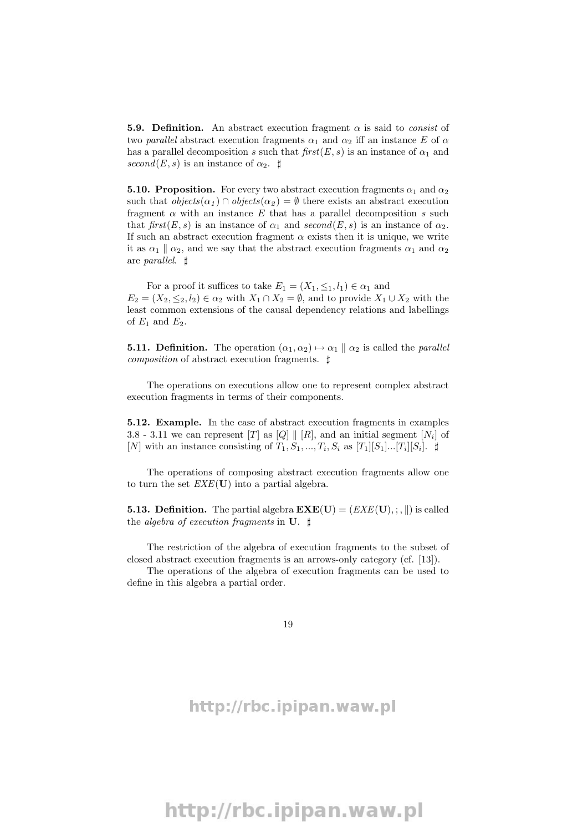**5.9. Definition.** An abstract execution fragment  $\alpha$  is said to *consist* of two parallel abstract execution fragments  $\alpha_1$  and  $\alpha_2$  iff an instance E of  $\alpha$ has a parallel decomposition s such that  $first(E, s)$  is an instance of  $\alpha_1$  and second(E, s) is an instance of  $\alpha_2$ .  $\sharp$ 

**5.10. Proposition.** For every two abstract execution fragments  $\alpha_1$  and  $\alpha_2$ such that  $objects(\alpha_1) \cap objects(\alpha_2) = \emptyset$  there exists an abstract execution fragment  $\alpha$  with an instance E that has a parallel decomposition s such that first(E, s) is an instance of  $\alpha_1$  and second(E, s) is an instance of  $\alpha_2$ . If such an abstract execution fragment  $\alpha$  exists then it is unique, we write it as  $\alpha_1 \parallel \alpha_2$ , and we say that the abstract execution fragments  $\alpha_1$  and  $\alpha_2$ are *parallel*.  $\sharp$ 

For a proof it suffices to take  $E_1 = (X_1, \leq_1, l_1) \in \alpha_1$  and  $E_2 = (X_2, \leq_2, l_2) \in \alpha_2$  with  $X_1 \cap X_2 = \emptyset$ , and to provide  $X_1 \cup X_2$  with the least common extensions of the causal dependency relations and labellings of  $E_1$  and  $E_2$ .

**5.11. Definition.** The operation  $(\alpha_1, \alpha_2) \mapsto \alpha_1 \parallel \alpha_2$  is called the *parallel composition* of abstract execution fragments.  $\sharp$ 

The operations on executions allow one to represent complex abstract execution fragments in terms of their components.

5.12. Example. In the case of abstract execution fragments in examples 3.8 - 3.11 we can represent [T] as  $[Q] \parallel [R]$ , and an initial segment  $[N_i]$  of [N] with an instance consisting of  $T_1, S_1, ..., T_i, S_i$  as  $[T_1][S_1]...[T_i][S_i]$ .  $\sharp$ 

The operations of composing abstract execution fragments allow one to turn the set  $EXE(U)$  into a partial algebra.

**5.13. Definition.** The partial algebra  $\mathbf{EXE}(\mathbf{U}) = (EXE(\mathbf{U}), \cdot, \|)$  is called the algebra of execution fragments in  $\mathbf{U}$ .  $\sharp$ 

The restriction of the algebra of execution fragments to the subset of closed abstract execution fragments is an arrows-only category (cf. [13]).

The operations of the algebra of execution fragments can be used to define in this algebra a partial order.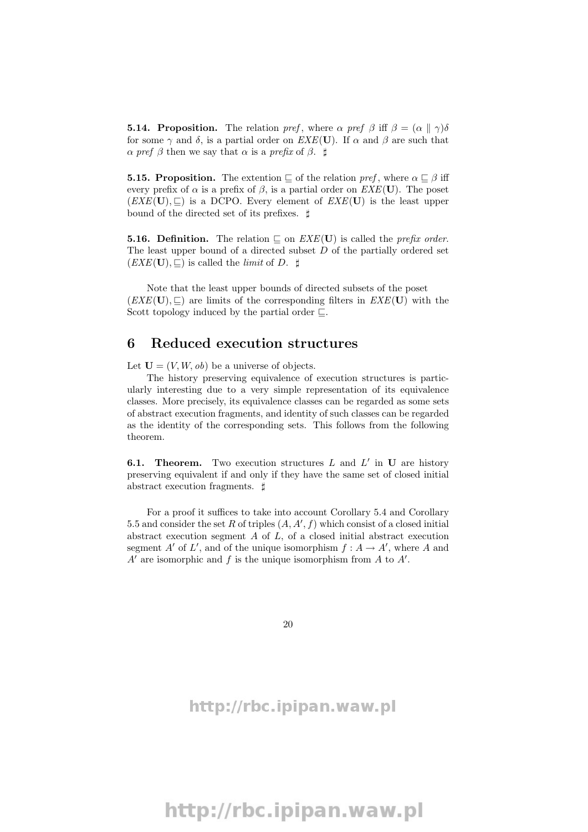**5.14. Proposition.** The relation pref, where  $\alpha$  pref  $\beta$  iff  $\beta = (\alpha \parallel \gamma)\delta$ for some  $\gamma$  and  $\delta$ , is a partial order on  $EXE(\mathbf{U})$ . If  $\alpha$  and  $\beta$  are such that  $\alpha$  pref  $\beta$  then we say that  $\alpha$  is a prefix of  $\beta$ .  $\sharp$ 

**5.15. Proposition.** The extention  $\subseteq$  of the relation pref, where  $\alpha \subseteq \beta$  iff every prefix of  $\alpha$  is a prefix of  $\beta$ , is a partial order on  $EXE(U)$ . The poset  $(EXE(U), \square)$  is a DCPO. Every element of  $EXE(U)$  is the least upper bound of the directed set of its prefixes.  $\sharp$ 

**5.16. Definition.** The relation  $\subseteq$  on  $EXE(\mathbf{U})$  is called the *prefix order*. The least upper bound of a directed subset  $D$  of the partially ordered set  $(EXE(U), \square)$  is called the *limit* of D.  $\sharp$ 

Note that the least upper bounds of directed subsets of the poset  $(EXE(U), \subseteq)$  are limits of the corresponding filters in  $EXE(U)$  with the Scott topology induced by the partial order  $\Box$ .

### 6 Reduced execution structures

Let  $\mathbf{U} = (V, W, ob)$  be a universe of objects.

The history preserving equivalence of execution structures is particularly interesting due to a very simple representation of its equivalence classes. More precisely, its equivalence classes can be regarded as some sets of abstract execution fragments, and identity of such classes can be regarded as the identity of the corresponding sets. This follows from the following theorem.

**6.1. Theorem.** Two execution structures  $L$  and  $L'$  in  $U$  are history preserving equivalent if and only if they have the same set of closed initial abstract execution fragments.  $\sharp$ 

For a proof it suffices to take into account Corollary 5.4 and Corollary 5.5 and consider the set R of triples  $(A, A', f)$  which consist of a closed initial abstract execution segment  $A$  of  $L$ , of a closed initial abstract execution segment A' of L', and of the unique isomorphism  $f : A \to A'$ , where A and  $A'$  are isomorphic and f is the unique isomorphism from A to  $A'$ .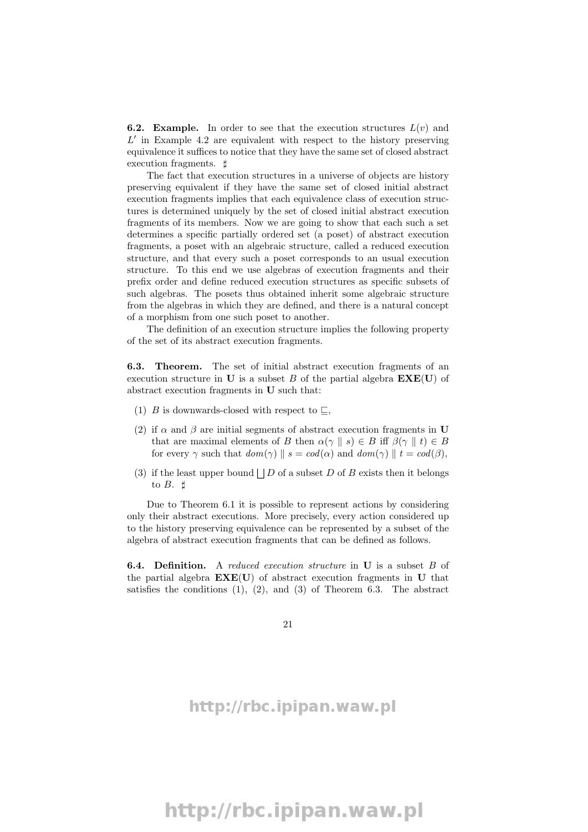**6.2. Example.** In order to see that the execution structures  $L(v)$  and  $L'$  in Example 4.2 are equivalent with respect to the history preserving equivalence it suffices to notice that they have the same set of closed abstract execution fragments.  $\sharp$ 

The fact that execution structures in a universe of objects are history preserving equivalent if they have the same set of closed initial abstract execution fragments implies that each equivalence class of execution structures is determined uniquely by the set of closed initial abstract execution fragments of its members. Now we are going to show that each such a set determines a specific partially ordered set (a poset) of abstract execution fragments, a poset with an algebraic structure, called a reduced execution structure, and that every such a poset corresponds to an usual execution structure. To this end we use algebras of execution fragments and their prefix order and define reduced execution structures as specific subsets of such algebras. The posets thus obtained inherit some algebraic structure from the algebras in which they are defined, and there is a natural concept of a morphism from one such poset to another.

The definition of an execution structure implies the following property of the set of its abstract execution fragments.

6.3. Theorem. The set of initial abstract execution fragments of an execution structure in U is a subset B of the partial algebra  $\mathbf{EXE}(\mathbf{U})$  of abstract execution fragments in U such that:

- (1) B is downwards-closed with respect to  $\sqsubseteq$ ,
- (2) if  $\alpha$  and  $\beta$  are initial segments of abstract execution fragments in U that are maximal elements of B then  $\alpha(\gamma \parallel s) \in B$  iff  $\beta(\gamma \parallel t) \in B$ for every  $\gamma$  such that  $dom(\gamma) \parallel s = cod(\alpha)$  and  $dom(\gamma) \parallel t = cod(\beta)$ ,
- (3) if the least upper bound  $\Box$  D of a subset D of B exists then it belongs to  $B.$   $\sharp$

Due to Theorem 6.1 it is possible to represent actions by considering only their abstract executions. More precisely, every action considered up to the history preserving equivalence can be represented by a subset of the algebra of abstract execution fragments that can be defined as follows.

**6.4.** Definition. A reduced execution structure in U is a subset B of the partial algebra  $\mathbf{EXE}(\mathbf{U})$  of abstract execution fragments in U that satisfies the conditions  $(1), (2),$  and  $(3)$  of Theorem 6.3. The abstract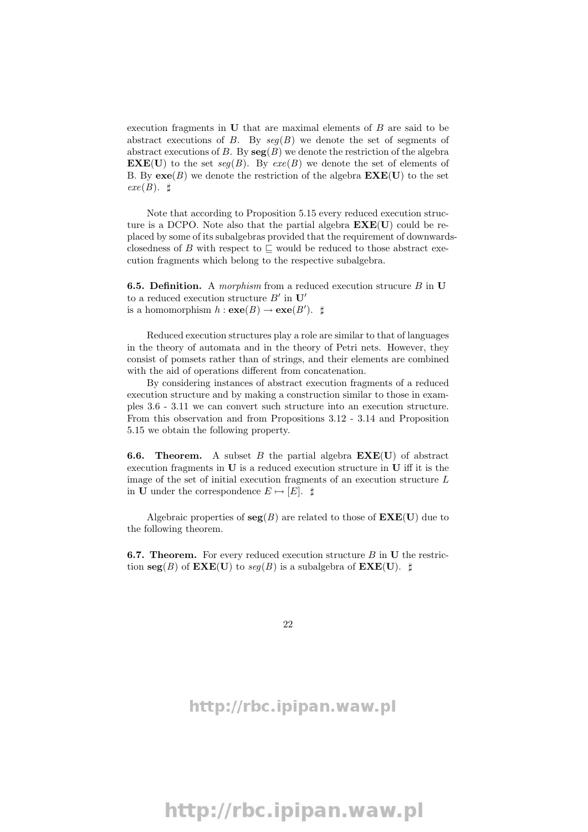execution fragments in  **that are maximal elements of**  $B$  **are said to be** abstract executions of B. By  $seq(B)$  we denote the set of segments of abstract executions of B. By  $\text{seg}(B)$  we denote the restriction of the algebra  **to the set seg(B). By exe(B) we denote the set of elements of** B. By  $\mathbf{exe}(B)$  we denote the restriction of the algebra  $\mathbf{EXE}(U)$  to the set  $exe(B). \; \sharp$ 

Note that according to Proposition 5.15 every reduced execution structure is a DCPO. Note also that the partial algebra  $\mathbf{EXE}(\mathbf{U})$  could be replaced by some of its subalgebras provided that the requirement of downwardsclosedness of B with respect to  $\Box$  would be reduced to those abstract execution fragments which belong to the respective subalgebra.

**6.5. Definition.** A *morphism* from a reduced execution strucure  $B$  in  $U$ to a reduced execution structure  $B'$  in  $\mathbf{U}'$ is a homomorphism  $h : \mathbf{exe}(B) \to \mathbf{exe}(B')$ .  $\sharp$ 

Reduced execution structures play a role are similar to that of languages in the theory of automata and in the theory of Petri nets. However, they consist of pomsets rather than of strings, and their elements are combined with the aid of operations different from concatenation.

By considering instances of abstract execution fragments of a reduced execution structure and by making a construction similar to those in examples 3.6 - 3.11 we can convert such structure into an execution structure. From this observation and from Propositions 3.12 - 3.14 and Proposition 5.15 we obtain the following property.

**6.6. Theorem.** A subset B the partial algebra  $\mathbf{EXE}(U)$  of abstract execution fragments in U is a reduced execution structure in U iff it is the image of the set of initial execution fragments of an execution structure L in U under the correspondence  $E \mapsto [E]$ .  $\sharp$ 

Algebraic properties of  $seg(B)$  are related to those of  $\mathbf{EXE}(U)$  due to the following theorem.

**6.7. Theorem.** For every reduced execution structure  $B$  in  $U$  the restriction  $\text{seg}(B)$  of  $\text{EXE}(U)$  to  $\text{seq}(B)$  is a subalgebra of  $\text{EXE}(U)$ .  $\sharp$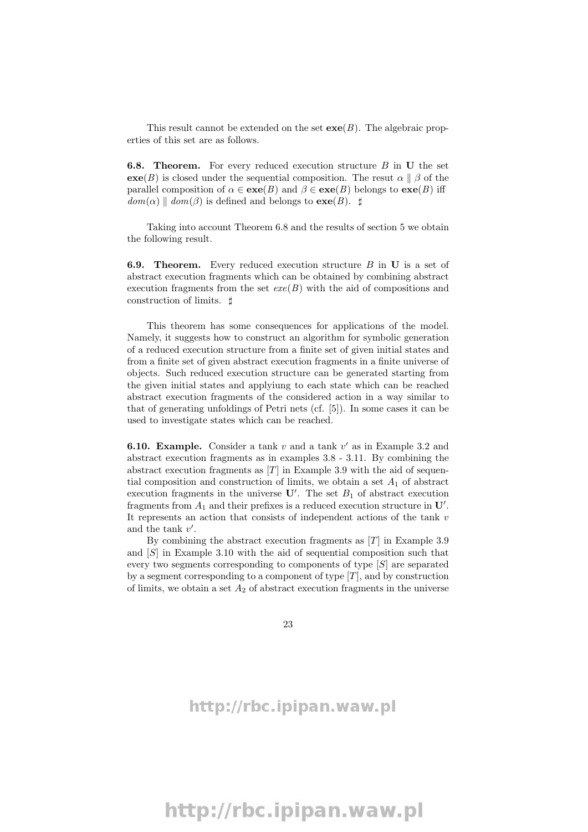This result cannot be extended on the set  $\mathbf{exe}(B)$ . The algebraic properties of this set are as follows.

6.8. Theorem. For every reduced execution structure B in U the set  $e^{\alpha}(B)$  is closed under the sequential composition. The resut  $\alpha \parallel \beta$  of the parallel composition of  $\alpha \in \mathbf{exe}(B)$  and  $\beta \in \mathbf{exe}(B)$  belongs to  $\mathbf{exe}(B)$  iff  $dom(\alpha) \parallel dom(\beta)$  is defined and belongs to  $exe(B)$ .  $\sharp$ 

Taking into account Theorem 6.8 and the results of section 5 we obtain the following result.

6.9. Theorem. Every reduced execution structure B in U is a set of abstract execution fragments which can be obtained by combining abstract execution fragments from the set  $exe(B)$  with the aid of compositions and construction of limits.  $\sharp$ 

This theorem has some consequences for applications of the model. Namely, it suggests how to construct an algorithm for symbolic generation of a reduced execution structure from a finite set of given initial states and from a finite set of given abstract execution fragments in a finite universe of objects. Such reduced execution structure can be generated starting from the given initial states and applyiung to each state which can be reached abstract execution fragments of the considered action in a way similar to that of generating unfoldings of Petri nets (cf. [5]). In some cases it can be used to investigate states which can be reached.

**6.10. Example.** Consider a tank  $v$  and a tank  $v'$  as in Example 3.2 and abstract execution fragments as in examples 3.8 - 3.11. By combining the abstract execution fragments as  $[T]$  in Example 3.9 with the aid of sequential composition and construction of limits, we obtain a set  $A_1$  of abstract execution fragments in the universe  $\mathbf{U}'$ . The set  $B_1$  of abstract execution fragments from  $A_1$  and their prefixes is a reduced execution structure in  $\mathbf{U}'$ . It represents an action that consists of independent actions of the tank  $v$ and the tank  $v'$ .

By combining the abstract execution fragments as  $[T]$  in Example 3.9 and [S] in Example 3.10 with the aid of sequential composition such that every two segments corresponding to components of type [S] are separated by a segment corresponding to a component of type  $[T]$ , and by construction of limits, we obtain a set  $A_2$  of abstract execution fragments in the universe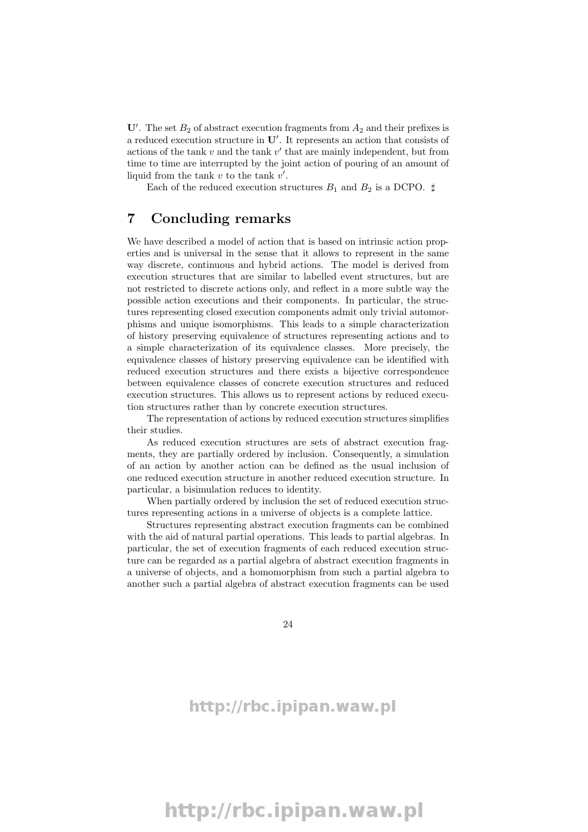U'. The set  $B_2$  of abstract execution fragments from  $A_2$  and their prefixes is a reduced execution structure in  $\mathbf{U}'$ . It represents an action that consists of actions of the tank  $v$  and the tank  $v'$  that are mainly independent, but from time to time are interrupted by the joint action of pouring of an amount of liquid from the tank  $v$  to the tank  $v'$ .

Each of the reduced execution structures  $B_1$  and  $B_2$  is a DCPO.  $\sharp$ 

### 7 Concluding remarks

We have described a model of action that is based on intrinsic action properties and is universal in the sense that it allows to represent in the same way discrete, continuous and hybrid actions. The model is derived from execution structures that are similar to labelled event structures, but are not restricted to discrete actions only, and reflect in a more subtle way the possible action executions and their components. In particular, the structures representing closed execution components admit only trivial automorphisms and unique isomorphisms. This leads to a simple characterization of history preserving equivalence of structures representing actions and to a simple characterization of its equivalence classes. More precisely, the equivalence classes of history preserving equivalence can be identified with reduced execution structures and there exists a bijective correspondence between equivalence classes of concrete execution structures and reduced execution structures. This allows us to represent actions by reduced execution structures rather than by concrete execution structures.

The representation of actions by reduced execution structures simplifies their studies.

As reduced execution structures are sets of abstract execution fragments, they are partially ordered by inclusion. Consequently, a simulation of an action by another action can be defined as the usual inclusion of one reduced execution structure in another reduced execution structure. In particular, a bisimulation reduces to identity.

When partially ordered by inclusion the set of reduced execution structures representing actions in a universe of objects is a complete lattice.

Structures representing abstract execution fragments can be combined with the aid of natural partial operations. This leads to partial algebras. In particular, the set of execution fragments of each reduced execution structure can be regarded as a partial algebra of abstract execution fragments in a universe of objects, and a homomorphism from such a partial algebra to another such a partial algebra of abstract execution fragments can be used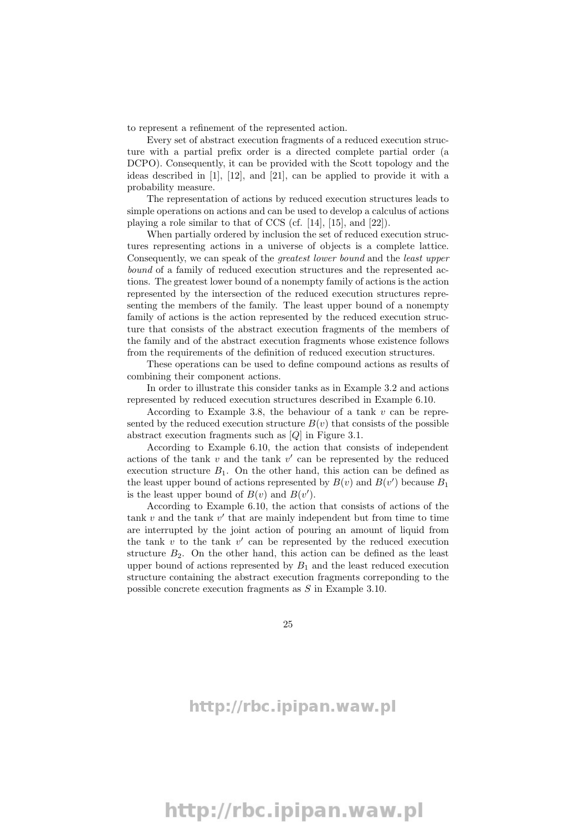to represent a refinement of the represented action.

Every set of abstract execution fragments of a reduced execution structure with a partial prefix order is a directed complete partial order (a DCPO). Consequently, it can be provided with the Scott topology and the ideas described in [1], [12], and [21], can be applied to provide it with a probability measure.

The representation of actions by reduced execution structures leads to simple operations on actions and can be used to develop a calculus of actions playing a role similar to that of CCS (cf. [14], [15], and [22]).

When partially ordered by inclusion the set of reduced execution structures representing actions in a universe of objects is a complete lattice. Consequently, we can speak of the greatest lower bound and the least upper bound of a family of reduced execution structures and the represented actions. The greatest lower bound of a nonempty family of actions is the action represented by the intersection of the reduced execution structures representing the members of the family. The least upper bound of a nonempty family of actions is the action represented by the reduced execution structure that consists of the abstract execution fragments of the members of the family and of the abstract execution fragments whose existence follows from the requirements of the definition of reduced execution structures.

These operations can be used to define compound actions as results of combining their component actions.

In order to illustrate this consider tanks as in Example 3.2 and actions represented by reduced execution structures described in Example 6.10.

According to Example 3.8, the behaviour of a tank  $v$  can be represented by the reduced execution structure  $B(v)$  that consists of the possible abstract execution fragments such as [Q] in Figure 3.1.

According to Example 6.10, the action that consists of independent actions of the tank  $v$  and the tank  $v'$  can be represented by the reduced execution structure  $B_1$ . On the other hand, this action can be defined as the least upper bound of actions represented by  $B(v)$  and  $B(v')$  because  $B_1$ is the least upper bound of  $B(v)$  and  $B(v')$ .

According to Example 6.10, the action that consists of actions of the tank  $v$  and the tank  $v'$  that are mainly independent but from time to time are interrupted by the joint action of pouring an amount of liquid from the tank  $v$  to the tank  $v'$  can be represented by the reduced execution structure  $B_2$ . On the other hand, this action can be defined as the least upper bound of actions represented by  $B_1$  and the least reduced execution structure containing the abstract execution fragments correponding to the possible concrete execution fragments as S in Example 3.10.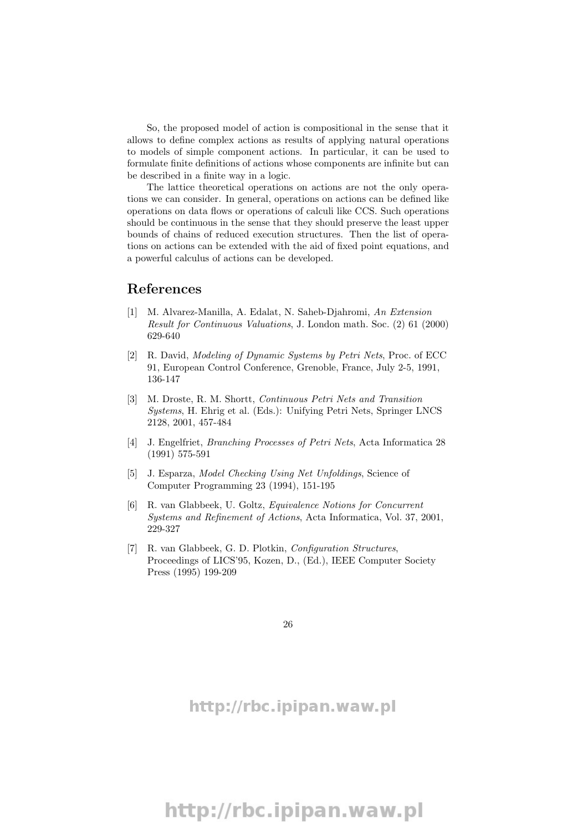So, the proposed model of action is compositional in the sense that it allows to define complex actions as results of applying natural operations to models of simple component actions. In particular, it can be used to formulate finite definitions of actions whose components are infinite but can be described in a finite way in a logic.

The lattice theoretical operations on actions are not the only operations we can consider. In general, operations on actions can be defined like operations on data flows or operations of calculi like CCS. Such operations should be continuous in the sense that they should preserve the least upper bounds of chains of reduced execution structures. Then the list of operations on actions can be extended with the aid of fixed point equations, and a powerful calculus of actions can be developed.

### References

- [1] M. Alvarez-Manilla, A. Edalat, N. Saheb-Djahromi, An Extension Result for Continuous Valuations, J. London math. Soc. (2) 61 (2000) 629-640
- [2] R. David, Modeling of Dynamic Systems by Petri Nets, Proc. of ECC 91, European Control Conference, Grenoble, France, July 2-5, 1991, 136-147
- [3] M. Droste, R. M. Shortt, Continuous Petri Nets and Transition Systems, H. Ehrig et al. (Eds.): Unifying Petri Nets, Springer LNCS 2128, 2001, 457-484
- [4] J. Engelfriet, Branching Processes of Petri Nets, Acta Informatica 28 (1991) 575-591
- [5] J. Esparza, Model Checking Using Net Unfoldings, Science of Computer Programming 23 (1994), 151-195
- [6] R. van Glabbeek, U. Goltz, Equivalence Notions for Concurrent Systems and Refinement of Actions, Acta Informatica, Vol. 37, 2001, 229-327
- [7] R. van Glabbeek, G. D. Plotkin, Configuration Structures, Proceedings of LICS'95, Kozen, D., (Ed.), IEEE Computer Society Press (1995) 199-209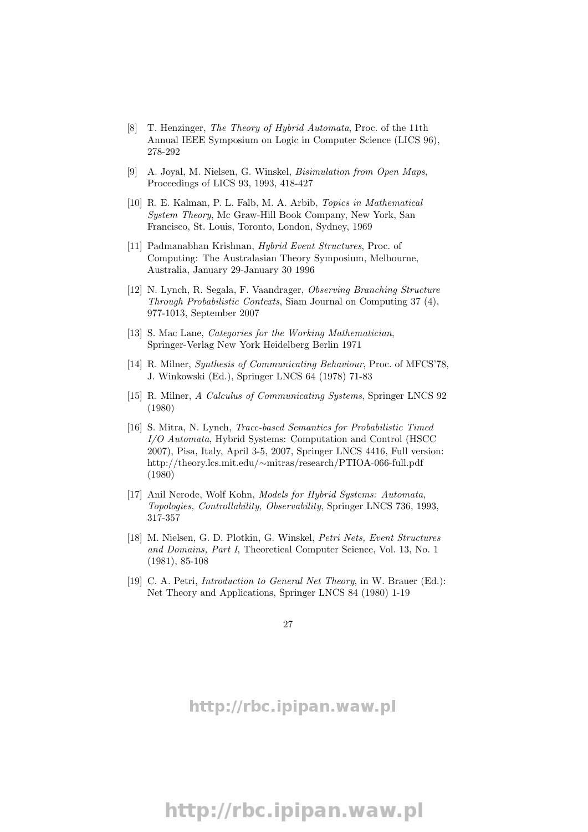- [8] T. Henzinger, The Theory of Hybrid Automata, Proc. of the 11th Annual IEEE Symposium on Logic in Computer Science (LICS 96), 278-292
- [9] A. Joyal, M. Nielsen, G. Winskel, Bisimulation from Open Maps, Proceedings of LICS 93, 1993, 418-427
- [10] R. E. Kalman, P. L. Falb, M. A. Arbib, Topics in Mathematical System Theory, Mc Graw-Hill Book Company, New York, San Francisco, St. Louis, Toronto, London, Sydney, 1969
- [11] Padmanabhan Krishnan, Hybrid Event Structures, Proc. of Computing: The Australasian Theory Symposium, Melbourne, Australia, January 29-January 30 1996
- [12] N. Lynch, R. Segala, F. Vaandrager, Observing Branching Structure Through Probabilistic Contexts, Siam Journal on Computing 37 (4), 977-1013, September 2007
- [13] S. Mac Lane, *Categories for the Working Mathematician*, Springer-Verlag New York Heidelberg Berlin 1971
- [14] R. Milner, Synthesis of Communicating Behaviour, Proc. of MFCS'78, J. Winkowski (Ed.), Springer LNCS 64 (1978) 71-83
- [15] R. Milner, A Calculus of Communicating Systems, Springer LNCS 92 (1980)
- [16] S. Mitra, N. Lynch, Trace-based Semantics for Probabilistic Timed I/O Automata, Hybrid Systems: Computation and Control (HSCC 2007), Pisa, Italy, April 3-5, 2007, Springer LNCS 4416, Full version: http://theory.lcs.mit.edu/∼mitras/research/PTIOA-066-full.pdf (1980)
- [17] Anil Nerode, Wolf Kohn, Models for Hybrid Systems: Automata, Topologies, Controllability, Observability, Springer LNCS 736, 1993, 317-357
- [18] M. Nielsen, G. D. Plotkin, G. Winskel, Petri Nets, Event Structures and Domains, Part I, Theoretical Computer Science, Vol. 13, No. 1 (1981), 85-108
- [19] C. A. Petri, *Introduction to General Net Theory*, in W. Brauer (Ed.): Net Theory and Applications, Springer LNCS 84 (1980) 1-19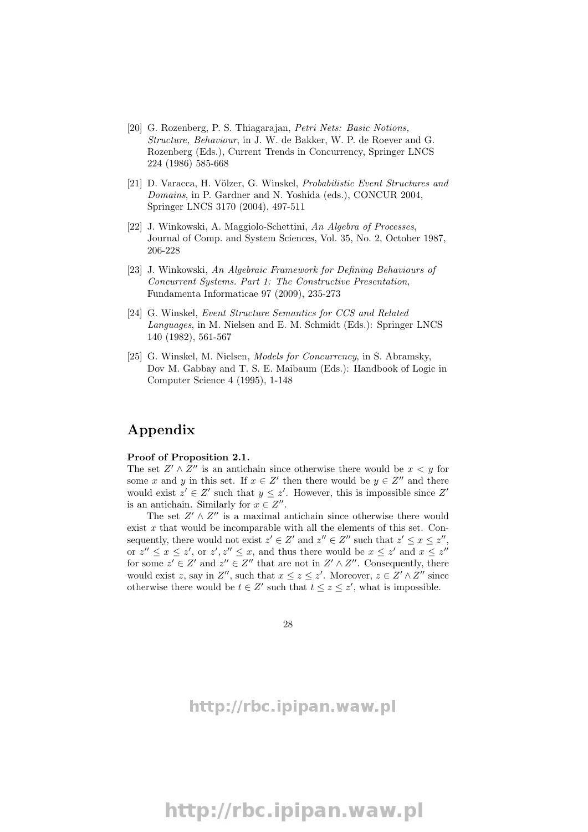- [20] G. Rozenberg, P. S. Thiagarajan, Petri Nets: Basic Notions, Structure, Behaviour, in J. W. de Bakker, W. P. de Roever and G. Rozenberg (Eds.), Current Trends in Concurrency, Springer LNCS 224 (1986) 585-668
- [21] D. Varacca, H. Völzer, G. Winskel, *Probabilistic Event Structures and* Domains, in P. Gardner and N. Yoshida (eds.), CONCUR 2004, Springer LNCS 3170 (2004), 497-511
- [22] J. Winkowski, A. Maggiolo-Schettini, An Algebra of Processes, Journal of Comp. and System Sciences, Vol. 35, No. 2, October 1987, 206-228
- [23] J. Winkowski, An Algebraic Framework for Defining Behaviours of Concurrent Systems. Part 1: The Constructive Presentation, Fundamenta Informaticae 97 (2009), 235-273
- [24] G. Winskel, Event Structure Semantics for CCS and Related Languages, in M. Nielsen and E. M. Schmidt (Eds.): Springer LNCS 140 (1982), 561-567
- [25] G. Winskel, M. Nielsen, Models for Concurrency, in S. Abramsky, Dov M. Gabbay and T. S. E. Maibaum (Eds.): Handbook of Logic in Computer Science 4 (1995), 1-148

# Appendix

#### Proof of Proposition 2.1.

The set  $Z' \wedge Z''$  is an antichain since otherwise there would be  $x < y$  for some x and y in this set. If  $x \in Z'$  then there would be  $y \in Z''$  and there would exist  $z' \in Z'$  such that  $y \leq z'$ . However, this is impossible since Z' is an antichain. Similarly for  $x \in Z''$ .

The set  $Z' \wedge Z''$  is a maximal antichain since otherwise there would exist  $x$  that would be incomparable with all the elements of this set. Consequently, there would not exist  $z' \in Z'$  and  $z'' \in Z''$  such that  $z' \leq x \leq z''$ , or  $z'' \leq x \leq z'$ , or  $z', z'' \leq x$ , and thus there would be  $x \leq z'$  and  $x \leq z''$ for some  $z' \in Z'$  and  $z'' \in Z''$  that are not in  $Z' \wedge Z''$ . Consequently, there would exist z, say in  $Z''$ , such that  $x \leq z \leq z'$ . Moreover,  $z \in Z' \wedge Z''$  since otherwise there would be  $t \in Z'$  such that  $t \leq z \leq z'$ , what is impossible.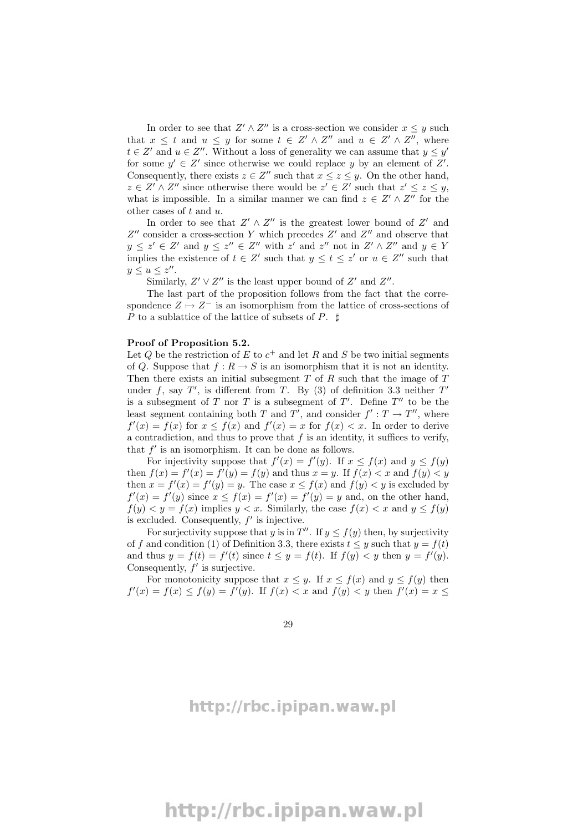In order to see that  $Z' \wedge Z''$  is a cross-section we consider  $x \leq y$  such that  $x \leq t$  and  $u \leq y$  for some  $t \in Z' \wedge Z''$  and  $u \in Z' \wedge Z''$ , where  $t \in Z'$  and  $u \in Z''$ . Without a loss of generality we can assume that  $y \leq y'$ for some  $y' \in Z'$  since otherwise we could replace y by an element of Z'. Consequently, there exists  $z \in Z''$  such that  $x \leq z \leq y$ . On the other hand,  $z \in Z' \wedge Z''$  since otherwise there would be  $z' \in Z'$  such that  $z' \leq z \leq y$ , what is impossible. In a similar manner we can find  $z \in Z' \wedge Z''$  for the other cases of  $t$  and  $u$ .

In order to see that  $Z' \wedge Z''$  is the greatest lower bound of  $Z'$  and  $Z''$  consider a cross-section Y which precedes  $Z'$  and  $Z''$  and observe that  $y \leq z' \in Z'$  and  $y \leq z'' \in Z''$  with  $z'$  and  $z''$  not in  $Z' \wedge Z''$  and  $y \in Y$ implies the existence of  $t \in Z'$  such that  $y \leq t \leq z'$  or  $u \in Z''$  such that  $y \leq u \leq z''$ .

Similarly,  $Z' \vee Z''$  is the least upper bound of  $Z'$  and  $Z''$ .

The last part of the proposition follows from the fact that the correspondence  $Z \mapsto Z^-$  is an isomorphism from the lattice of cross-sections of P to a sublattice of the lattice of subsets of P.  $\sharp$ 

#### Proof of Proposition 5.2.

Let Q be the restriction of E to  $c^+$  and let R and S be two initial segments of Q. Suppose that  $f: R \to S$  is an isomorphism that it is not an identity. Then there exists an initial subsegment  $T$  of  $R$  such that the image of  $T$ under f, say  $T'$ , is different from T. By (3) of definition 3.3 neither  $T'$ is a subsegment of T nor T is a subsegment of  $T'$ . Define  $T''$  to be the least segment containing both T and T', and consider  $f': T \to T''$ , where  $f'(x) = f(x)$  for  $x \leq f(x)$  and  $f'(x) = x$  for  $f(x) < x$ . In order to derive a contradiction, and thus to prove that  $f$  is an identity, it suffices to verify, that  $f'$  is an isomorphism. It can be done as follows.

For injectivity suppose that  $f'(x) = f'(y)$ . If  $x \le f(x)$  and  $y \le f(y)$ then  $f(x) = f'(x) = f'(y) = f(y)$  and thus  $x = y$ . If  $f(x) < x$  and  $f(y) < y$ then  $x = f'(x) = f'(y) = y$ . The case  $x \le f(x)$  and  $f(y) < y$  is excluded by  $f'(x) = f'(y)$  since  $x \le f(x) = f'(x) = f'(y) = y$  and, on the other hand,  $f(y) < y = f(x)$  implies  $y < x$ . Similarly, the case  $f(x) < x$  and  $y \le f(y)$ is excluded. Consequently,  $f'$  is injective.

For surjectivity suppose that y is in  $T''$ . If  $y \le f(y)$  then, by surjectivity of f and condition (1) of Definition 3.3, there exists  $t \leq y$  such that  $y = f(t)$ and thus  $y = f(t) = f'(t)$  since  $t \le y = f(t)$ . If  $f(y) < y$  then  $y = f'(y)$ . Consequently,  $f'$  is surjective.

For monotonicity suppose that  $x \leq y$ . If  $x \leq f(x)$  and  $y \leq f(y)$  then  $f'(x) = f(x) \le f(y) = f'(y)$ . If  $f(x) < x$  and  $f(y) < y$  then  $f'(x) = x \le f'(x)$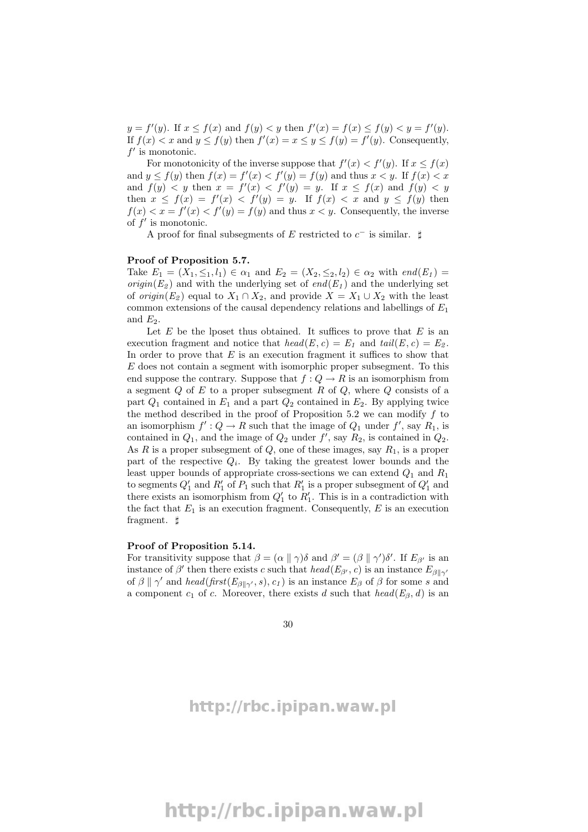$y = f'(y)$ . If  $x \le f(x)$  and  $f(y) < y$  then  $f'(x) = f(x) \le f(y) < y = f'(y)$ . If  $f(x) < x$  and  $y \le f(y)$  then  $f'(x) = x \le y \le f(y) = f'(y)$ . Consequently,  $f'$  is monotonic.

For monotonicity of the inverse suppose that  $f'(x) < f'(y)$ . If  $x \le f(x)$ and  $y \le f(y)$  then  $f(x) = f'(x) < f'(y) = f(y)$  and thus  $x < y$ . If  $f(x) < x$ and  $f(y) < y$  then  $x = f'(x) < f'(y) = y$ . If  $x \le f(x)$  and  $f(y) < y$ then  $x \leq f(x) = f'(x) < f'(y) = y$ . If  $f(x) < x$  and  $y \leq f(y)$  then  $f(x) < x = f'(x) < f'(y) = f(y)$  and thus  $x < y$ . Consequently, the inverse of  $f'$  is monotonic.

A proof for final subsegments of E restricted to  $c^-$  is similar.  $\sharp$ 

#### Proof of Proposition 5.7.

Take  $E_1 = (X_1, \leq_1, l_1) \in \alpha_1$  and  $E_2 = (X_2, \leq_2, l_2) \in \alpha_2$  with  $end(E_1)$ *origin*( $E_2$ ) and with the underlying set of end( $E_1$ ) and the underlying set of *origin*( $E_2$ ) equal to  $X_1 \cap X_2$ , and provide  $X = X_1 \cup X_2$  with the least common extensions of the causal dependency relations and labellings of  $E_1$ and  $E_2$ .

Let  $E$  be the lposet thus obtained. It suffices to prove that  $E$  is an execution fragment and notice that  $head(E, c) = E_1$  and  $tail(E, c) = E_2$ . In order to prove that  $E$  is an execution fragment it suffices to show that E does not contain a segment with isomorphic proper subsegment. To this end suppose the contrary. Suppose that  $f: Q \to R$  is an isomorphism from a segment  $Q$  of  $E$  to a proper subsegment  $R$  of  $Q$ , where  $Q$  consists of a part  $Q_1$  contained in  $E_1$  and a part  $Q_2$  contained in  $E_2$ . By applying twice the method described in the proof of Proposition 5.2 we can modify  $f$  to an isomorphism  $f': Q \to R$  such that the image of  $Q_1$  under  $f'$ , say  $R_1$ , is contained in  $Q_1$ , and the image of  $Q_2$  under  $f'$ , say  $R_2$ , is contained in  $Q_2$ . As R is a proper subsegment of  $Q$ , one of these images, say  $R_1$ , is a proper part of the respective  $Q_i$ . By taking the greatest lower bounds and the least upper bounds of appropriate cross-sections we can extend  $Q_1$  and  $R_1$ to segments  $Q'_1$  and  $R'_1$  of  $P_1$  such that  $R'_1$  is a proper subsegment of  $Q'_1$  and there exists an isomorphism from  $Q'_1$  to  $R'_1$ . This is in a contradiction with the fact that  $E_1$  is an execution fragment. Consequently,  $E$  is an execution fragment.  $\sharp$ 

#### Proof of Proposition 5.14.

For transitivity suppose that  $\beta = (\alpha \parallel \gamma)\delta$  and  $\beta' = (\beta \parallel \gamma')\delta'$ . If  $E_{\beta'}$  is an instance of  $\beta'$  then there exists c such that  $head(E_{\beta'}, c)$  is an instance  $E_{\beta||\gamma'}$ of  $\beta \parallel \gamma'$  and head(first( $E_{\beta \parallel \gamma'}$ , s),  $c_1$ ) is an instance  $E_{\beta}$  of  $\beta$  for some s and a component  $c_1$  of c. Moreover, there exists d such that  $head(E_\beta, d)$  is an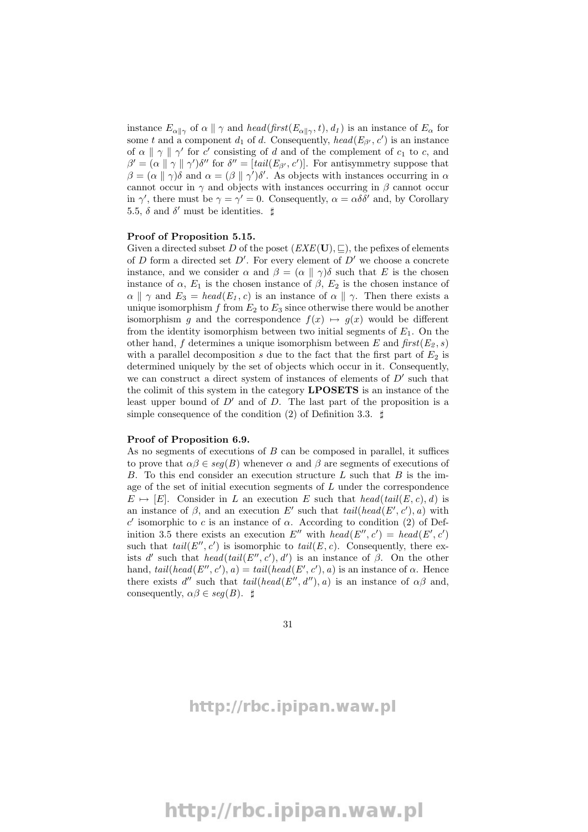instance  $E_{\alpha\parallel\gamma}$  of  $\alpha\parallel\gamma$  and head(first( $E_{\alpha\parallel\gamma}$ , t),  $d_1$ ) is an instance of  $E_{\alpha}$  for some t and a component  $d_1$  of d. Consequently,  $head(E_{\beta'}, c')$  is an instance of  $\alpha \parallel \gamma \parallel \gamma'$  for c' consisting of d and of the complement of  $c_1$  to c, and  $\beta' = (\alpha \|\gamma\| \gamma')\delta''$  for  $\delta'' = [tail(E_{\beta'}, c')]$ . For antisymmetry suppose that  $\beta = (\alpha \parallel \gamma)\delta$  and  $\alpha = (\beta \parallel \gamma')\delta'$ . As objects with instances occurring in  $\alpha$ cannot occur in  $\gamma$  and objects with instances occurring in  $\beta$  cannot occur in  $\gamma'$ , there must be  $\gamma = \gamma' = 0$ . Consequently,  $\alpha = \alpha \delta \delta'$  and, by Corollary 5.5,  $\delta$  and  $\delta'$  must be identities.  $\sharp$ 

#### Proof of Proposition 5.15.

Given a directed subset D of the poset  $(EXE(\mathbf{U}), \subseteq)$ , the pefixes of elements of  $D$  form a directed set  $D'$ . For every element of  $D'$  we choose a concrete instance, and we consider  $\alpha$  and  $\beta = (\alpha \parallel \gamma)\delta$  such that E is the chosen instance of  $\alpha$ ,  $E_1$  is the chosen instance of  $\beta$ ,  $E_2$  is the chosen instance of  $\alpha \parallel \gamma$  and  $E_3 = head(E_1, c)$  is an instance of  $\alpha \parallel \gamma$ . Then there exists a unique isomorphism f from  $E_2$  to  $E_3$  since otherwise there would be another isomorphism g and the correspondence  $f(x) \mapsto g(x)$  would be different from the identity isomorphism between two initial segments of  $E_1$ . On the other hand, f determines a unique isomorphism between E and  $first(E_2, s)$ with a parallel decomposition s due to the fact that the first part of  $E_2$  is determined uniquely by the set of objects which occur in it. Consequently, we can construct a direct system of instances of elements of  $D'$  such that the colimit of this system in the category LPOSETS is an instance of the least upper bound of  $D'$  and of D. The last part of the proposition is a simple consequence of the condition (2) of Definition 3.3.  $\sharp$ 

#### Proof of Proposition 6.9.

As no segments of executions of  $B$  can be composed in parallel, it suffices to prove that  $\alpha\beta \in \text{seq}(B)$  whenever  $\alpha$  and  $\beta$  are segments of executions of B. To this end consider an execution structure  $L$  such that  $B$  is the image of the set of initial execution segments of  $L$  under the correspondence  $E \mapsto [E]$ . Consider in L an execution E such that  $head(tail(E, c), d)$  is an instance of  $\beta$ , and an execution E' such that  $tail(head(E', c'), a)$  with  $c'$  isomorphic to c is an instance of α. According to condition (2) of Definition 3.5 there exists an execution E'' with head(E'', c') = head(E', c') such that  $tail(E'', c')$  is isomorphic to  $tail(E, c)$ . Consequently, there exists d' such that  $head(tail(E'', c'), d')$  is an instance of  $\beta$ . On the other hand,  $tail(head(E'', c'), a) = tail(head(E', c'), a)$  is an instance of  $\alpha$ . Hence there exists  $d''$  such that  $tail(head(E'', d''), a)$  is an instance of  $\alpha\beta$  and, consequently,  $\alpha\beta \in \text{seg}(B)$ .  $\sharp$